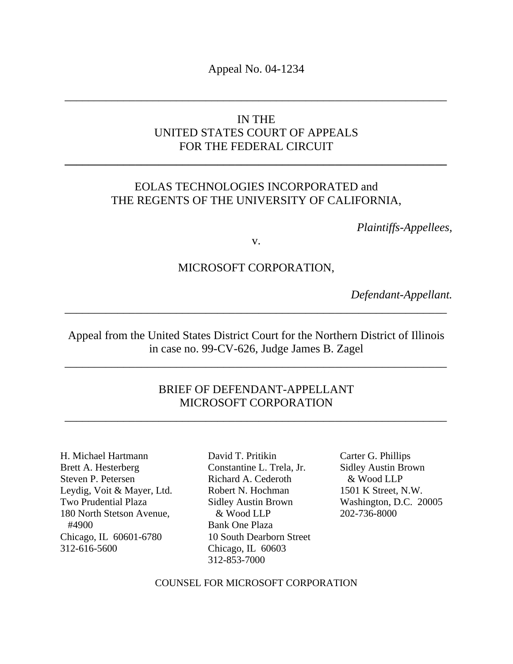Appeal No. 04-1234

\_\_\_\_\_\_\_\_\_\_\_\_\_\_\_\_\_\_\_\_\_\_\_\_\_\_\_\_\_\_\_\_\_\_\_\_\_\_\_\_\_\_\_\_\_\_\_\_\_\_\_\_\_\_\_\_\_\_\_\_\_\_\_\_\_

## IN THE UNITED STATES COURT OF APPEALS FOR THE FEDERAL CIRCUIT

**\_\_\_\_\_\_\_\_\_\_\_\_\_\_\_\_\_\_\_\_\_\_\_\_\_\_\_\_\_\_\_\_\_\_\_\_\_\_\_\_\_\_\_\_\_\_\_\_\_\_\_\_\_\_\_\_\_\_\_\_\_\_\_\_\_** 

## EOLAS TECHNOLOGIES INCORPORATED and THE REGENTS OF THE UNIVERSITY OF CALIFORNIA,

*Plaintiffs-Appellees,* 

v.

### MICROSOFT CORPORATION,

*Defendant-Appellant.* 

Appeal from the United States District Court for the Northern District of Illinois in case no. 99-CV-626, Judge James B. Zagel

\_\_\_\_\_\_\_\_\_\_\_\_\_\_\_\_\_\_\_\_\_\_\_\_\_\_\_\_\_\_\_\_\_\_\_\_\_\_\_\_\_\_\_\_\_\_\_\_\_\_\_\_\_\_\_\_\_\_\_\_\_\_\_\_\_

\_\_\_\_\_\_\_\_\_\_\_\_\_\_\_\_\_\_\_\_\_\_\_\_\_\_\_\_\_\_\_\_\_\_\_\_\_\_\_\_\_\_\_\_\_\_\_\_\_\_\_\_\_\_\_\_\_\_\_\_\_\_\_\_\_

## BRIEF OF DEFENDANT-APPELLANT MICROSOFT CORPORATION

\_\_\_\_\_\_\_\_\_\_\_\_\_\_\_\_\_\_\_\_\_\_\_\_\_\_\_\_\_\_\_\_\_\_\_\_\_\_\_\_\_\_\_\_\_\_\_\_\_\_\_\_\_\_\_\_\_\_\_\_\_\_\_\_\_

H. Michael Hartmann Brett A. Hesterberg Steven P. Petersen Leydig, Voit & Mayer, Ltd. Two Prudential Plaza 180 North Stetson Avenue, #4900 Chicago, IL 60601-6780 312-616-5600

David T. Pritikin Constantine L. Trela, Jr. Richard A. Cederoth Robert N. Hochman Sidley Austin Brown & Wood LLP Bank One Plaza 10 South Dearborn Street Chicago, IL 60603 312-853-7000

Carter G. Phillips Sidley Austin Brown & Wood LLP 1501 K Street, N.W. Washington, D.C. 20005 202-736-8000

COUNSEL FOR MICROSOFT CORPORATION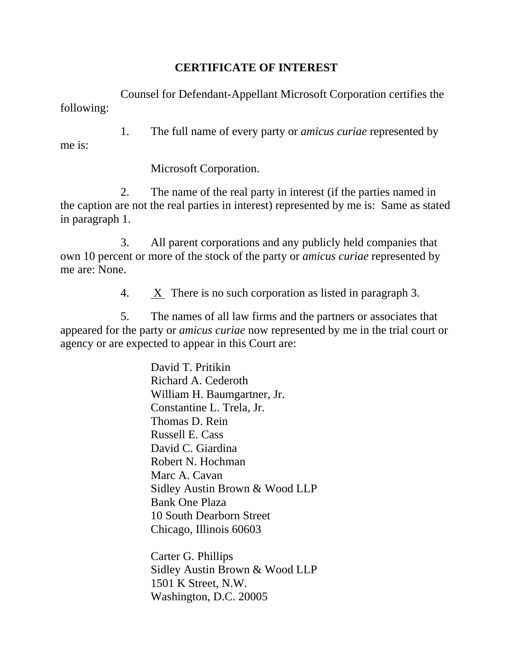## **CERTIFICATE OF INTEREST**

Counsel for Defendant-Appellant Microsoft Corporation certifies the following:

1. The full name of every party or *amicus curiae* represented by me is:

Microsoft Corporation.

2. The name of the real party in interest (if the parties named in the caption are not the real parties in interest) represented by me is: Same as stated in paragraph 1.

3. All parent corporations and any publicly held companies that own 10 percent or more of the stock of the party or *amicus curiae* represented by me are: None.

4. X There is no such corporation as listed in paragraph 3.

5. The names of all law firms and the partners or associates that appeared for the party or *amicus curiae* now represented by me in the trial court or agency or are expected to appear in this Court are:

> David T. Pritikin Richard A. Cederoth William H. Baumgartner, Jr. Constantine L. Trela, Jr. Thomas D. Rein Russell E. Cass David C. Giardina Robert N. Hochman Marc A. Cavan Sidley Austin Brown & Wood LLP Bank One Plaza 10 South Dearborn Street Chicago, Illinois 60603

Carter G. Phillips Sidley Austin Brown & Wood LLP 1501 K Street, N.W. Washington, D.C. 20005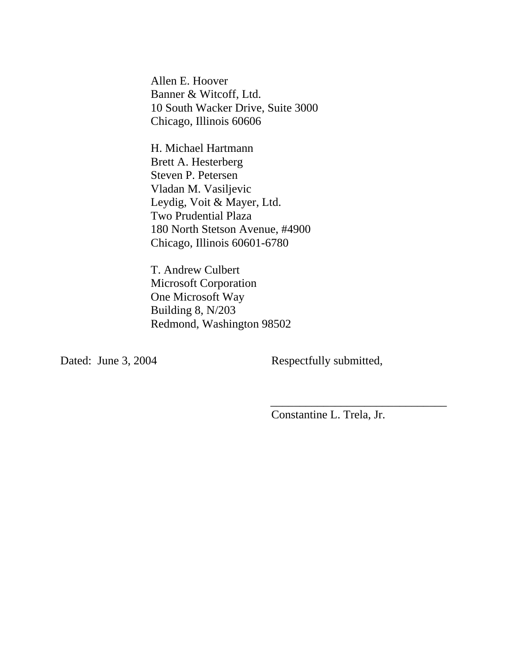Allen E. Hoover Banner & Witcoff, Ltd. 10 South Wacker Drive, Suite 3000 Chicago, Illinois 60606

H. Michael Hartmann Brett A. Hesterberg Steven P. Petersen Vladan M. Vasiljevic Leydig, Voit & Mayer, Ltd. Two Prudential Plaza 180 North Stetson Avenue, #4900 Chicago, Illinois 60601-6780

T. Andrew Culbert Microsoft Corporation One Microsoft Way Building 8, N/203 Redmond, Washington 98502

 $\overline{\phantom{a}}$  , and the contract of the contract of the contract of the contract of the contract of the contract of the contract of the contract of the contract of the contract of the contract of the contract of the contrac

Dated: June 3, 2004 Respectfully submitted,

Constantine L. Trela, Jr.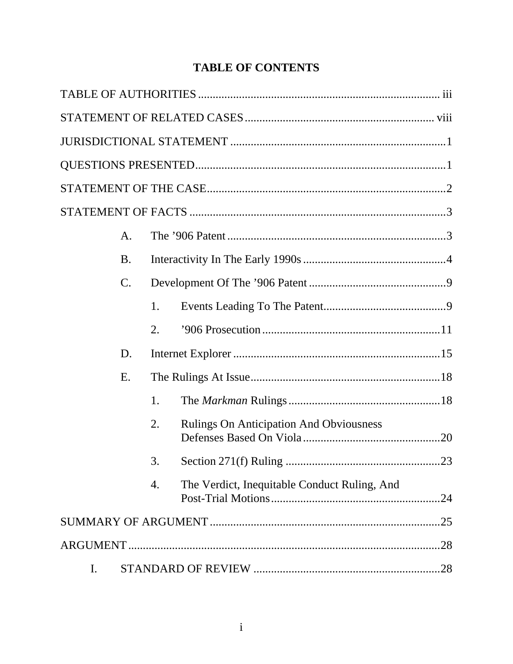# **TABLE OF CONTENTS**

|    | A.        |    |                                                |  |
|----|-----------|----|------------------------------------------------|--|
|    | <b>B.</b> |    |                                                |  |
|    | $C$ .     |    |                                                |  |
|    |           | 1. |                                                |  |
|    |           | 2. |                                                |  |
|    | D.        |    |                                                |  |
|    | E.        |    |                                                |  |
|    |           | 1. |                                                |  |
|    |           | 2. | <b>Rulings On Anticipation And Obviousness</b> |  |
|    |           | 3. |                                                |  |
|    |           | 4. | The Verdict, Inequitable Conduct Ruling, And   |  |
|    |           |    |                                                |  |
|    |           |    |                                                |  |
| I. |           |    |                                                |  |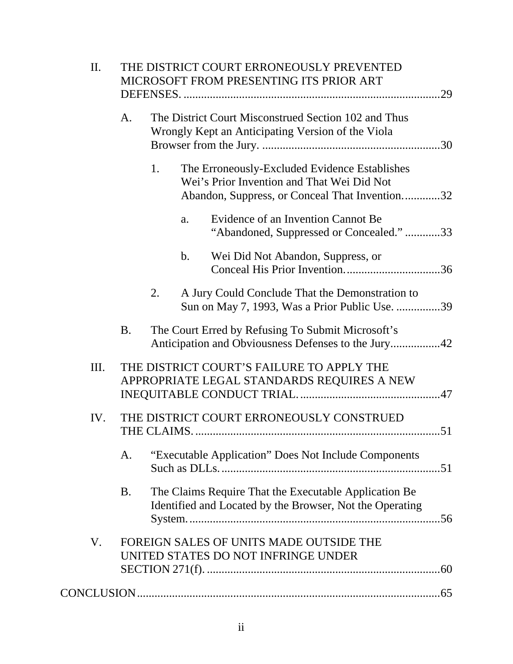| Π.   |           | THE DISTRICT COURT ERRONEOUSLY PREVENTED<br>MICROSOFT FROM PRESENTING ITS PRIOR ART |                                                                                                           |                                                                                                                                               |  |  |  |  |
|------|-----------|-------------------------------------------------------------------------------------|-----------------------------------------------------------------------------------------------------------|-----------------------------------------------------------------------------------------------------------------------------------------------|--|--|--|--|
|      | A.        |                                                                                     | The District Court Misconstrued Section 102 and Thus<br>Wrongly Kept an Anticipating Version of the Viola |                                                                                                                                               |  |  |  |  |
|      |           | 1.                                                                                  |                                                                                                           | The Erroneously-Excluded Evidence Establishes<br>Wei's Prior Invention and That Wei Did Not<br>Abandon, Suppress, or Conceal That Invention32 |  |  |  |  |
|      |           |                                                                                     | a.                                                                                                        | Evidence of an Invention Cannot Be<br>"Abandoned, Suppressed or Concealed."33                                                                 |  |  |  |  |
|      |           |                                                                                     | $\mathbf b$ .                                                                                             | Wei Did Not Abandon, Suppress, or                                                                                                             |  |  |  |  |
|      |           | 2.                                                                                  |                                                                                                           | A Jury Could Conclude That the Demonstration to<br>Sun on May 7, 1993, Was a Prior Public Use. 39                                             |  |  |  |  |
|      | <b>B.</b> |                                                                                     |                                                                                                           | The Court Erred by Refusing To Submit Microsoft's<br>Anticipation and Obviousness Defenses to the Jury42                                      |  |  |  |  |
| III. |           |                                                                                     |                                                                                                           | THE DISTRICT COURT'S FAILURE TO APPLY THE<br>APPROPRIATE LEGAL STANDARDS REQUIRES A NEW                                                       |  |  |  |  |
| IV.  |           |                                                                                     |                                                                                                           | THE DISTRICT COURT ERRONEOUSLY CONSTRUED                                                                                                      |  |  |  |  |
|      | А.        | "Executable Application" Does Not Include Components                                |                                                                                                           |                                                                                                                                               |  |  |  |  |
|      | <b>B.</b> |                                                                                     |                                                                                                           | The Claims Require That the Executable Application Be<br>Identified and Located by the Browser, Not the Operating                             |  |  |  |  |
| V.   |           | FOREIGN SALES OF UNITS MADE OUTSIDE THE<br>UNITED STATES DO NOT INFRINGE UNDER      |                                                                                                           |                                                                                                                                               |  |  |  |  |
|      |           |                                                                                     |                                                                                                           |                                                                                                                                               |  |  |  |  |
|      |           |                                                                                     |                                                                                                           |                                                                                                                                               |  |  |  |  |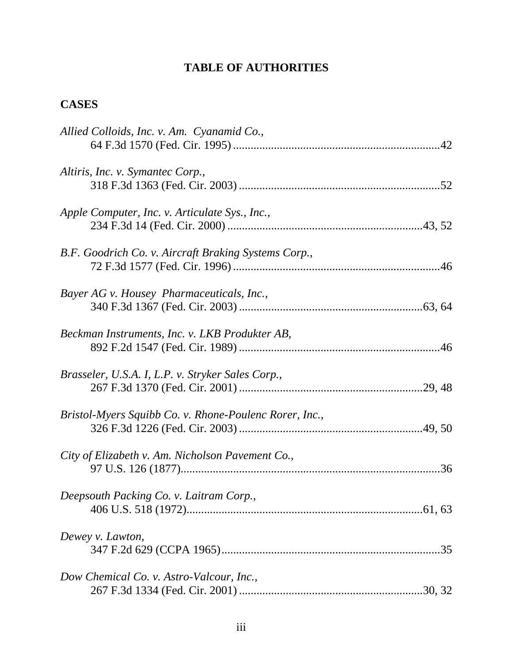## **TABLE OF AUTHORITIES**

## **CASES**

| Allied Colloids, Inc. v. Am. Cyanamid Co.,             |
|--------------------------------------------------------|
| Altiris, Inc. v. Symantec Corp.,                       |
| Apple Computer, Inc. v. Articulate Sys., Inc.,         |
| B.F. Goodrich Co. v. Aircraft Braking Systems Corp.,   |
| Bayer AG v. Housey Pharmaceuticals, Inc.,              |
| Beckman Instruments, Inc. v. LKB Produkter AB,         |
| Brasseler, U.S.A. I, L.P. v. Stryker Sales Corp.,      |
| Bristol-Myers Squibb Co. v. Rhone-Poulenc Rorer, Inc., |
| City of Elizabeth v. Am. Nicholson Pavement Co.,       |
| Deepsouth Packing Co. v. Laitram Corp.,                |
| Dewey v. Lawton,                                       |
| Dow Chemical Co. v. Astro-Valcour, Inc.,               |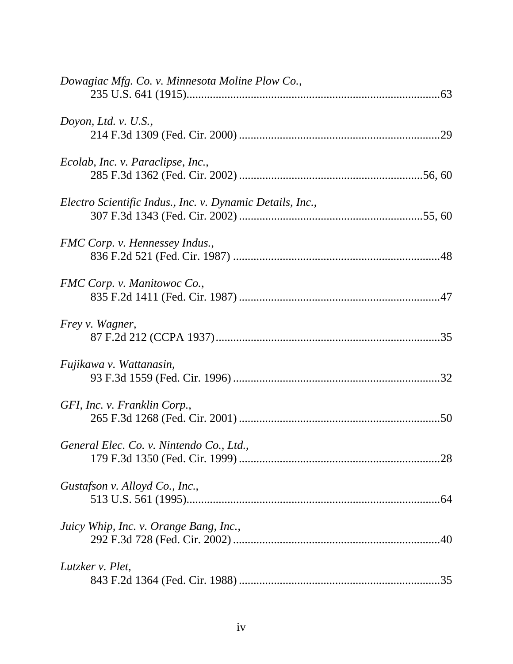| Dowagiac Mfg. Co. v. Minnesota Moline Plow Co.,           |
|-----------------------------------------------------------|
| Doyon, Ltd. v. $U.S.,$                                    |
| Ecolab, Inc. v. Paraclipse, Inc.,                         |
| Electro Scientific Indus., Inc. v. Dynamic Details, Inc., |
| FMC Corp. v. Hennessey Indus.,                            |
| FMC Corp. v. Manitowoc Co.,                               |
| <i>Frey v. Wagner,</i>                                    |
| Fujikawa v. Wattanasin,                                   |
| GFI, Inc. v. Franklin Corp.,                              |
| General Elec. Co. v. Nintendo Co., Ltd.,                  |
| Gustafson v. Alloyd Co., Inc.,                            |
| Juicy Whip, Inc. v. Orange Bang, Inc.,                    |
| Lutzker v. Plet,                                          |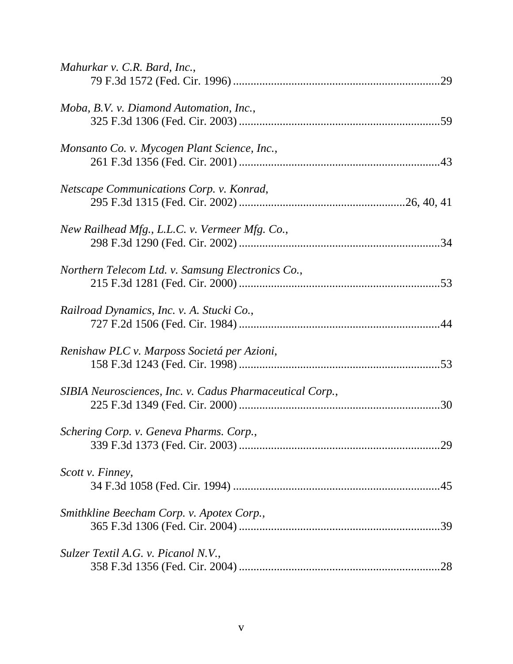| Mahurkar v. C.R. Bard, Inc.,                             |
|----------------------------------------------------------|
| Moba, B.V. v. Diamond Automation, Inc.,                  |
| Monsanto Co. v. Mycogen Plant Science, Inc.,             |
| Netscape Communications Corp. v. Konrad,                 |
| New Railhead Mfg., L.L.C. v. Vermeer Mfg. Co.,<br>.34    |
| Northern Telecom Ltd. v. Samsung Electronics Co.,        |
| Railroad Dynamics, Inc. v. A. Stucki Co.,                |
| Renishaw PLC v. Marposs Societá per Azioni,              |
| SIBIA Neurosciences, Inc. v. Cadus Pharmaceutical Corp., |
| Schering Corp. v. Geneva Pharms. Corp.,                  |
| Scott v. Finney,                                         |
| Smithkline Beecham Corp. v. Apotex Corp.,                |
| Sulzer Textil A.G. v. Picanol N.V.,                      |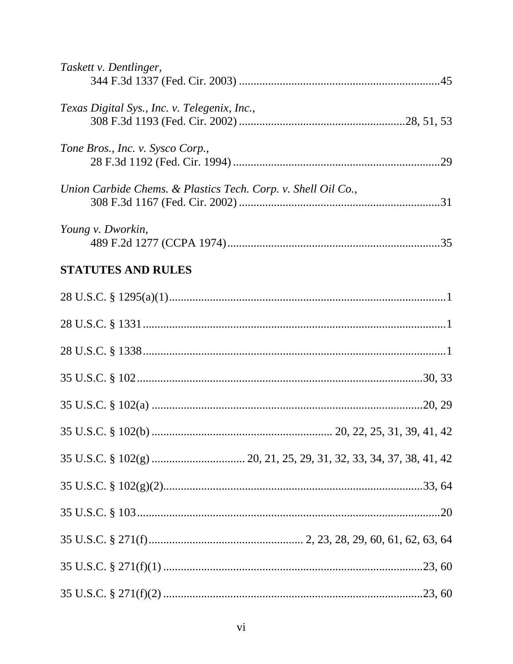| Taskett v. Dentlinger,                                        |
|---------------------------------------------------------------|
|                                                               |
| Texas Digital Sys., Inc. v. Telegenix, Inc.,                  |
| Tone Bros., Inc. v. Sysco Corp.,                              |
| Union Carbide Chems. & Plastics Tech. Corp. v. Shell Oil Co., |
| Young v. Dworkin,                                             |
| <b>STATUTES AND RULES</b>                                     |
|                                                               |
|                                                               |
|                                                               |
|                                                               |
|                                                               |
|                                                               |
|                                                               |
|                                                               |
|                                                               |
|                                                               |
|                                                               |
|                                                               |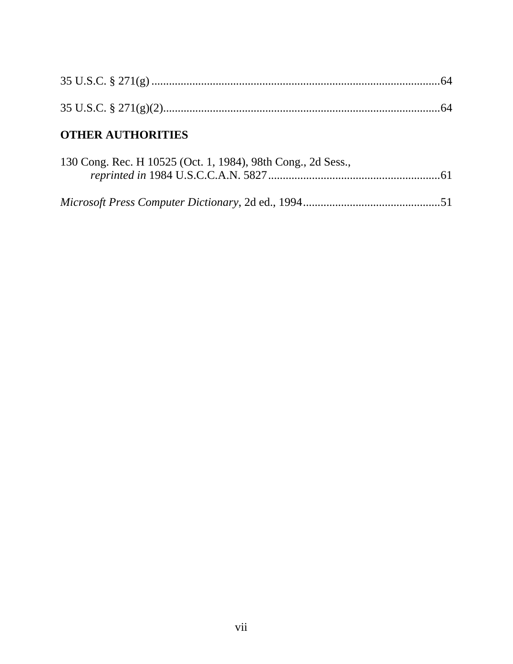# **OTHER AUTHORITIES**

| 130 Cong. Rec. H 10525 (Oct. 1, 1984), 98th Cong., 2d Sess., |  |
|--------------------------------------------------------------|--|
|                                                              |  |
|                                                              |  |
|                                                              |  |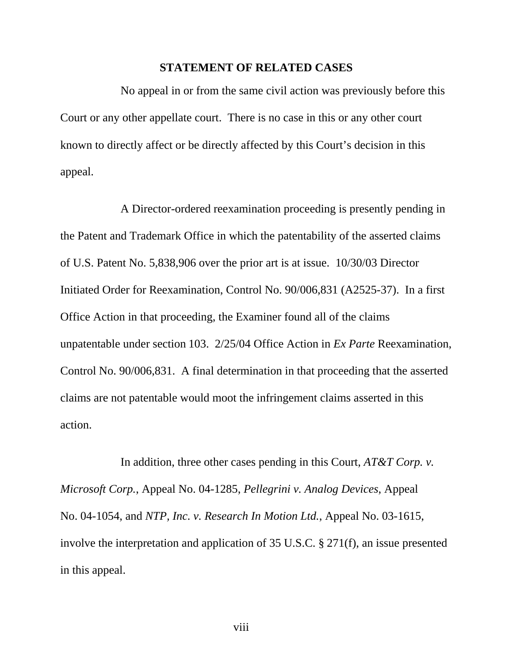#### **STATEMENT OF RELATED CASES**

No appeal in or from the same civil action was previously before this Court or any other appellate court. There is no case in this or any other court known to directly affect or be directly affected by this Court's decision in this appeal.

A Director-ordered reexamination proceeding is presently pending in the Patent and Trademark Office in which the patentability of the asserted claims of U.S. Patent No. 5,838,906 over the prior art is at issue. 10/30/03 Director Initiated Order for Reexamination, Control No. 90/006,831 (A2525-37). In a first Office Action in that proceeding, the Examiner found all of the claims unpatentable under section 103. 2/25/04 Office Action in *Ex Parte* Reexamination, Control No. 90/006,831. A final determination in that proceeding that the asserted claims are not patentable would moot the infringement claims asserted in this action.

In addition, three other cases pending in this Court, *AT&T Corp. v. Microsoft Corp.*, Appeal No. 04-1285, *Pellegrini v. Analog Devices*, Appeal No. 04-1054, and *NTP, Inc. v. Research In Motion Ltd.*, Appeal No. 03-1615, involve the interpretation and application of 35 U.S.C. § 271(f), an issue presented in this appeal.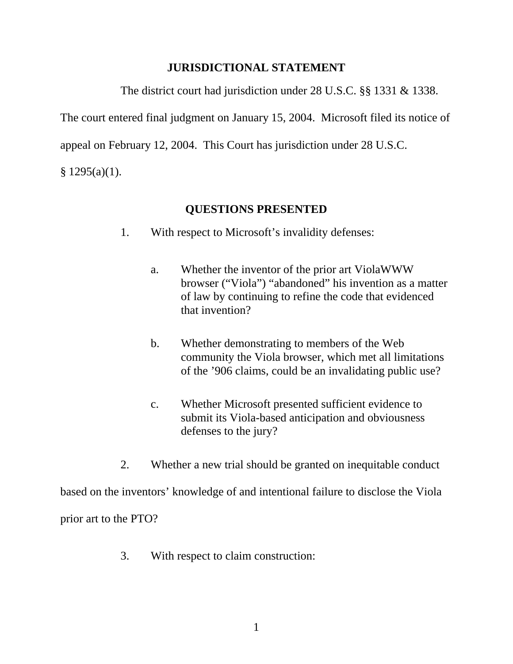## **JURISDICTIONAL STATEMENT**

The district court had jurisdiction under 28 U.S.C. §§ 1331 & 1338.

The court entered final judgment on January 15, 2004. Microsoft filed its notice of

appeal on February 12, 2004. This Court has jurisdiction under 28 U.S.C.

 $$ 1295(a)(1).$ 

## **QUESTIONS PRESENTED**

- 1. With respect to Microsoft's invalidity defenses:
	- a. Whether the inventor of the prior art ViolaWWW browser ("Viola") "abandoned" his invention as a matter of law by continuing to refine the code that evidenced that invention?
	- b. Whether demonstrating to members of the Web community the Viola browser, which met all limitations of the '906 claims, could be an invalidating public use?
	- c. Whether Microsoft presented sufficient evidence to submit its Viola-based anticipation and obviousness defenses to the jury?
- 2. Whether a new trial should be granted on inequitable conduct

based on the inventors' knowledge of and intentional failure to disclose the Viola prior art to the PTO?

3. With respect to claim construction: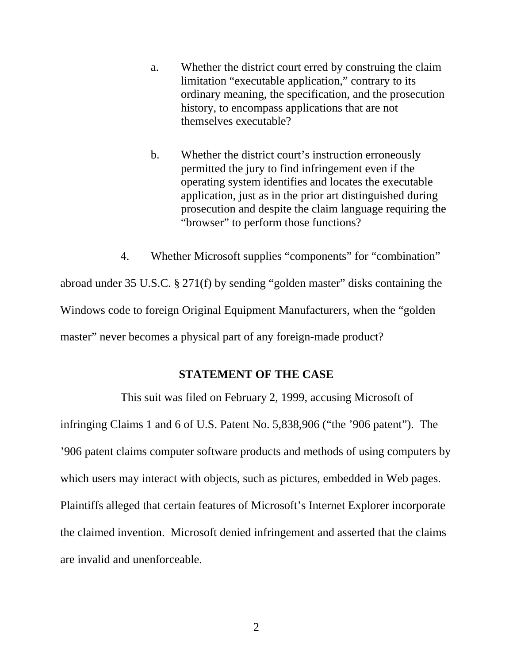- a. Whether the district court erred by construing the claim limitation "executable application," contrary to its ordinary meaning, the specification, and the prosecution history, to encompass applications that are not themselves executable?
- b. Whether the district court's instruction erroneously permitted the jury to find infringement even if the operating system identifies and locates the executable application, just as in the prior art distinguished during prosecution and despite the claim language requiring the "browser" to perform those functions?

4. Whether Microsoft supplies "components" for "combination"

abroad under 35 U.S.C. § 271(f) by sending "golden master" disks containing the Windows code to foreign Original Equipment Manufacturers, when the "golden master" never becomes a physical part of any foreign-made product?

### **STATEMENT OF THE CASE**

This suit was filed on February 2, 1999, accusing Microsoft of infringing Claims 1 and 6 of U.S. Patent No. 5,838,906 ("the '906 patent"). The '906 patent claims computer software products and methods of using computers by which users may interact with objects, such as pictures, embedded in Web pages. Plaintiffs alleged that certain features of Microsoft's Internet Explorer incorporate the claimed invention. Microsoft denied infringement and asserted that the claims are invalid and unenforceable.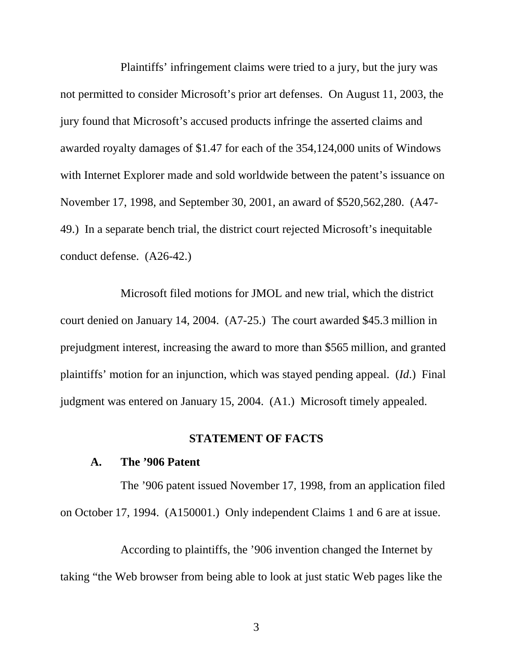Plaintiffs' infringement claims were tried to a jury, but the jury was not permitted to consider Microsoft's prior art defenses. On August 11, 2003, the jury found that Microsoft's accused products infringe the asserted claims and awarded royalty damages of \$1.47 for each of the 354,124,000 units of Windows with Internet Explorer made and sold worldwide between the patent's issuance on November 17, 1998, and September 30, 2001, an award of \$520,562,280. (A47- 49.) In a separate bench trial, the district court rejected Microsoft's inequitable conduct defense. (A26-42.)

Microsoft filed motions for JMOL and new trial, which the district court denied on January 14, 2004. (A7-25.) The court awarded \$45.3 million in prejudgment interest, increasing the award to more than \$565 million, and granted plaintiffs' motion for an injunction, which was stayed pending appeal. (*Id*.) Final judgment was entered on January 15, 2004. (A1.) Microsoft timely appealed.

#### **STATEMENT OF FACTS**

#### **A. The '906 Patent**

The '906 patent issued November 17, 1998, from an application filed on October 17, 1994. (A150001.) Only independent Claims 1 and 6 are at issue.

According to plaintiffs, the '906 invention changed the Internet by taking "the Web browser from being able to look at just static Web pages like the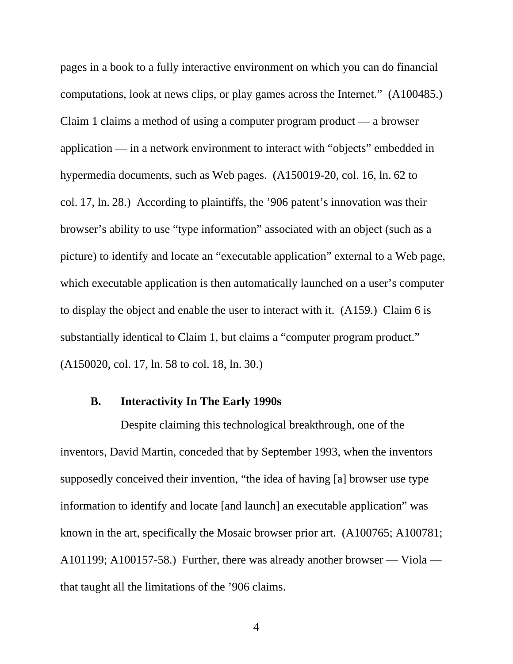pages in a book to a fully interactive environment on which you can do financial computations, look at news clips, or play games across the Internet." (A100485.) Claim 1 claims a method of using a computer program product — a browser application — in a network environment to interact with "objects" embedded in hypermedia documents, such as Web pages. (A150019-20, col. 16, ln. 62 to col. 17, ln. 28.) According to plaintiffs, the '906 patent's innovation was their browser's ability to use "type information" associated with an object (such as a picture) to identify and locate an "executable application" external to a Web page, which executable application is then automatically launched on a user's computer to display the object and enable the user to interact with it. (A159.) Claim 6 is substantially identical to Claim 1, but claims a "computer program product." (A150020, col. 17, ln. 58 to col. 18, ln. 30.)

#### **B. Interactivity In The Early 1990s**

Despite claiming this technological breakthrough, one of the inventors, David Martin, conceded that by September 1993, when the inventors supposedly conceived their invention, "the idea of having [a] browser use type information to identify and locate [and launch] an executable application" was known in the art, specifically the Mosaic browser prior art. (A100765; A100781; A101199; A100157-58.) Further, there was already another browser — Viola that taught all the limitations of the '906 claims.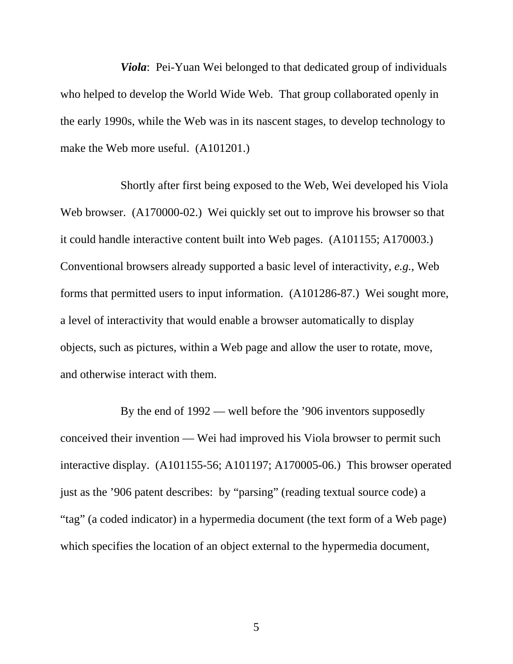*Viola*: Pei-Yuan Wei belonged to that dedicated group of individuals who helped to develop the World Wide Web. That group collaborated openly in the early 1990s, while the Web was in its nascent stages, to develop technology to make the Web more useful. (A101201.)

Shortly after first being exposed to the Web, Wei developed his Viola Web browser. (A170000-02.) Wei quickly set out to improve his browser so that it could handle interactive content built into Web pages. (A101155; A170003.) Conventional browsers already supported a basic level of interactivity, *e.g.*, Web forms that permitted users to input information. (A101286-87.) Wei sought more, a level of interactivity that would enable a browser automatically to display objects, such as pictures, within a Web page and allow the user to rotate, move, and otherwise interact with them.

By the end of 1992 — well before the '906 inventors supposedly conceived their invention — Wei had improved his Viola browser to permit such interactive display. (A101155-56; A101197; A170005-06.) This browser operated just as the '906 patent describes: by "parsing" (reading textual source code) a "tag" (a coded indicator) in a hypermedia document (the text form of a Web page) which specifies the location of an object external to the hypermedia document,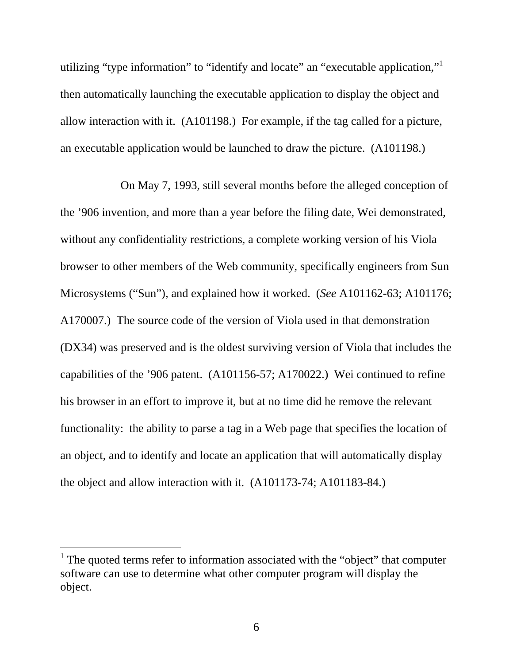utilizing "type information" to "identify and locate" an "executable application,"<sup>1</sup> then automatically launching the executable application to display the object and allow interaction with it. (A101198.) For example, if the tag called for a picture, an executable application would be launched to draw the picture. (A101198.)

On May 7, 1993, still several months before the alleged conception of the '906 invention, and more than a year before the filing date, Wei demonstrated, without any confidentiality restrictions, a complete working version of his Viola browser to other members of the Web community, specifically engineers from Sun Microsystems ("Sun"), and explained how it worked. (*See* A101162-63; A101176; A170007.) The source code of the version of Viola used in that demonstration (DX34) was preserved and is the oldest surviving version of Viola that includes the capabilities of the '906 patent. (A101156-57; A170022.) Wei continued to refine his browser in an effort to improve it, but at no time did he remove the relevant functionality: the ability to parse a tag in a Web page that specifies the location of an object, and to identify and locate an application that will automatically display the object and allow interaction with it. (A101173-74; A101183-84.)

 $\overline{a}$ 

<sup>&</sup>lt;sup>1</sup> The quoted terms refer to information associated with the "object" that computer software can use to determine what other computer program will display the object.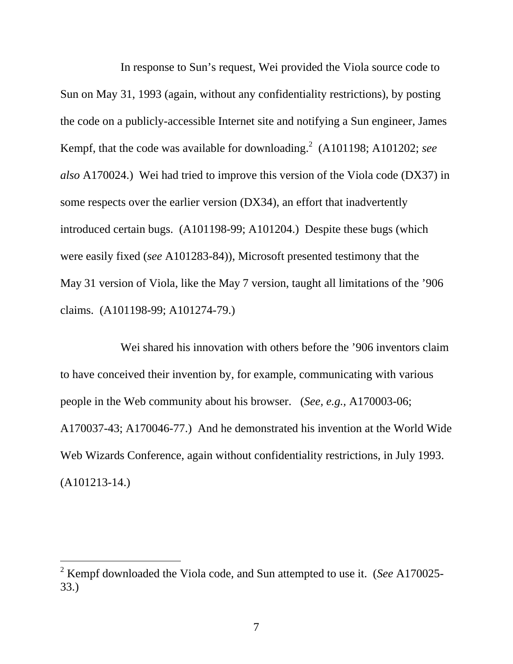In response to Sun's request, Wei provided the Viola source code to Sun on May 31, 1993 (again, without any confidentiality restrictions), by posting the code on a publicly-accessible Internet site and notifying a Sun engineer, James Kempf, that the code was available for downloading.<sup>2</sup> (A101198; A101202; see *also* A170024.) Wei had tried to improve this version of the Viola code (DX37) in some respects over the earlier version (DX34), an effort that inadvertently introduced certain bugs. (A101198-99; A101204.) Despite these bugs (which were easily fixed (*see* A101283-84)), Microsoft presented testimony that the May 31 version of Viola, like the May 7 version, taught all limitations of the '906 claims. (A101198-99; A101274-79.)

Wei shared his innovation with others before the '906 inventors claim to have conceived their invention by, for example, communicating with various people in the Web community about his browser. (*See, e.g.,* A170003-06; A170037-43; A170046-77.) And he demonstrated his invention at the World Wide Web Wizards Conference, again without confidentiality restrictions, in July 1993. (A101213-14.)

-

<sup>2</sup> Kempf downloaded the Viola code, and Sun attempted to use it. (*See* A170025- 33.)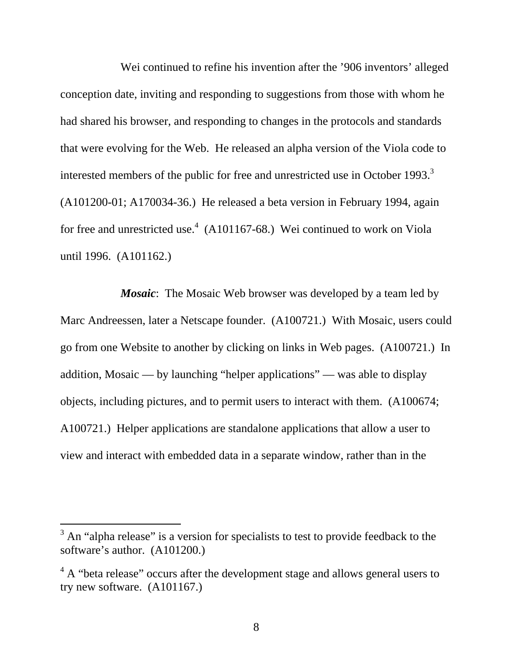Wei continued to refine his invention after the '906 inventors' alleged conception date, inviting and responding to suggestions from those with whom he had shared his browser, and responding to changes in the protocols and standards that were evolving for the Web. He released an alpha version of the Viola code to interested members of the public for free and unrestricted use in October 1993.<sup>3</sup> (A101200-01; A170034-36.) He released a beta version in February 1994, again for free and unrestricted use.<sup>4</sup> (A101167-68.) Wei continued to work on Viola until 1996. (A101162.)

*Mosaic*: The Mosaic Web browser was developed by a team led by Marc Andreessen, later a Netscape founder. (A100721.) With Mosaic, users could go from one Website to another by clicking on links in Web pages. (A100721.) In addition, Mosaic — by launching "helper applications" — was able to display objects, including pictures, and to permit users to interact with them. (A100674; A100721.) Helper applications are standalone applications that allow a user to view and interact with embedded data in a separate window, rather than in the

-

 $3$  An "alpha release" is a version for specialists to test to provide feedback to the software's author. (A101200.)

 $4\,$  A "beta release" occurs after the development stage and allows general users to try new software. (A101167.)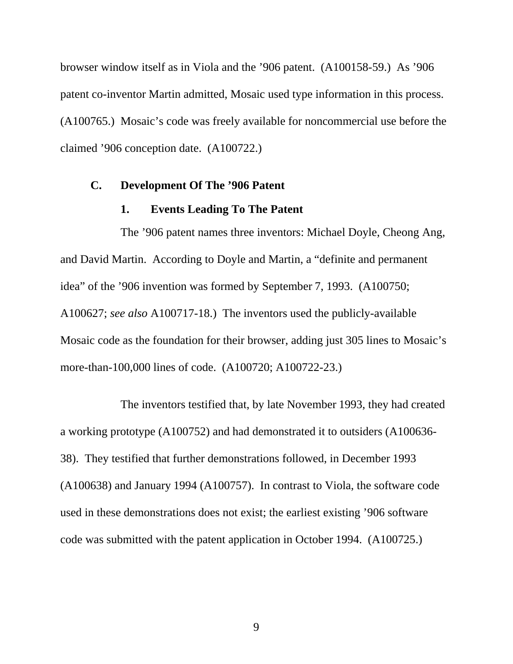browser window itself as in Viola and the '906 patent. (A100158-59.) As '906 patent co-inventor Martin admitted, Mosaic used type information in this process. (A100765.) Mosaic's code was freely available for noncommercial use before the claimed '906 conception date. (A100722.)

#### **C. Development Of The '906 Patent**

### **1. Events Leading To The Patent**

The '906 patent names three inventors: Michael Doyle, Cheong Ang, and David Martin. According to Doyle and Martin, a "definite and permanent idea" of the '906 invention was formed by September 7, 1993. (A100750; A100627; *see also* A100717-18.) The inventors used the publicly-available Mosaic code as the foundation for their browser, adding just 305 lines to Mosaic's more-than-100,000 lines of code. (A100720; A100722-23.)

The inventors testified that, by late November 1993, they had created a working prototype (A100752) and had demonstrated it to outsiders (A100636- 38). They testified that further demonstrations followed, in December 1993 (A100638) and January 1994 (A100757). In contrast to Viola, the software code used in these demonstrations does not exist; the earliest existing '906 software code was submitted with the patent application in October 1994. (A100725.)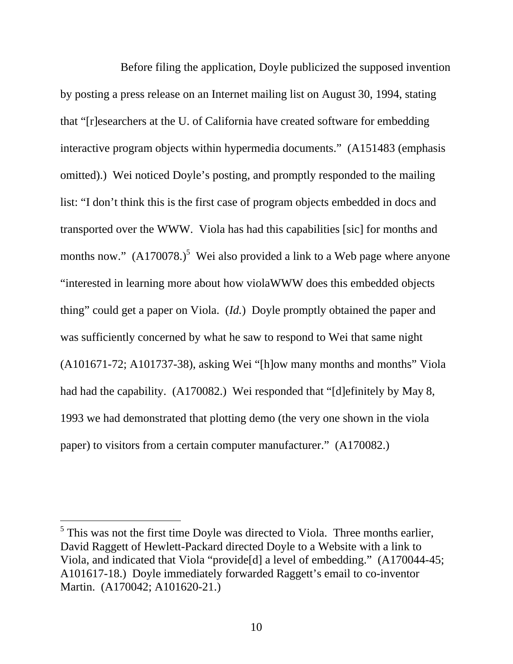Before filing the application, Doyle publicized the supposed invention by posting a press release on an Internet mailing list on August 30, 1994, stating that "[r]esearchers at the U. of California have created software for embedding interactive program objects within hypermedia documents." (A151483 (emphasis omitted).) Wei noticed Doyle's posting, and promptly responded to the mailing list: "I don't think this is the first case of program objects embedded in docs and transported over the WWW. Viola has had this capabilities [sic] for months and months now."  $(A170078.)^5$  Wei also provided a link to a Web page where anyone "interested in learning more about how violaWWW does this embedded objects thing" could get a paper on Viola. (*Id.*) Doyle promptly obtained the paper and was sufficiently concerned by what he saw to respond to Wei that same night  $(A101671-72; A101737-38)$ , asking Wei "[h]ow many months and months" Viola had had the capability. (A170082.) Wei responded that "[d]efinitely by May 8, 1993 we had demonstrated that plotting demo (the very one shown in the viola paper) to visitors from a certain computer manufacturer." (A170082.)

l

 $<sup>5</sup>$  This was not the first time Doyle was directed to Viola. Three months earlier,</sup> David Raggett of Hewlett-Packard directed Doyle to a Website with a link to Viola, and indicated that Viola "provide[d] a level of embedding." (A170044-45; A101617-18.) Doyle immediately forwarded Raggett's email to co-inventor Martin. (A170042; A101620-21.)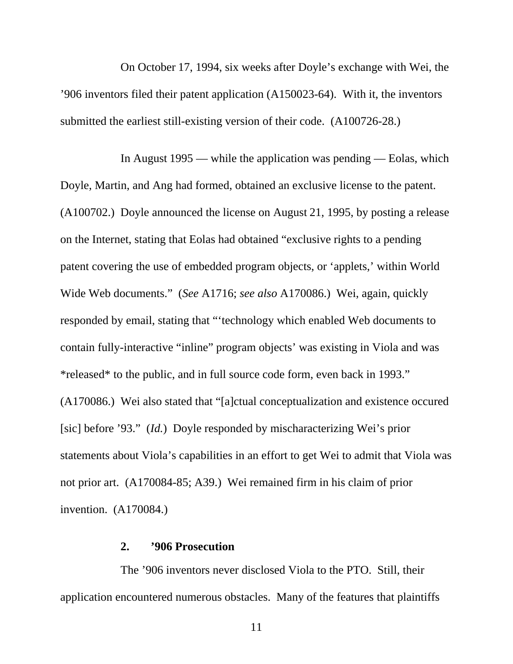On October 17, 1994, six weeks after Doyle's exchange with Wei, the '906 inventors filed their patent application (A150023-64). With it, the inventors submitted the earliest still-existing version of their code. (A100726-28.)

In August 1995 — while the application was pending — Eolas, which Doyle, Martin, and Ang had formed, obtained an exclusive license to the patent. (A100702.) Doyle announced the license on August 21, 1995, by posting a release on the Internet, stating that Eolas had obtained "exclusive rights to a pending patent covering the use of embedded program objects, or 'applets,' within World Wide Web documents." (*See* A1716; *see also* A170086.) Wei, again, quickly responded by email, stating that "'technology which enabled Web documents to contain fully-interactive "inline" program objects' was existing in Viola and was \*released\* to the public, and in full source code form, even back in 1993." (A170086.) Wei also stated that "[a]ctual conceptualization and existence occured [sic] before '93." (*Id.*) Doyle responded by mischaracterizing Wei's prior statements about Viola's capabilities in an effort to get Wei to admit that Viola was not prior art. (A170084-85; A39.) Wei remained firm in his claim of prior invention. (A170084.)

#### **2. '906 Prosecution**

The '906 inventors never disclosed Viola to the PTO. Still, their application encountered numerous obstacles. Many of the features that plaintiffs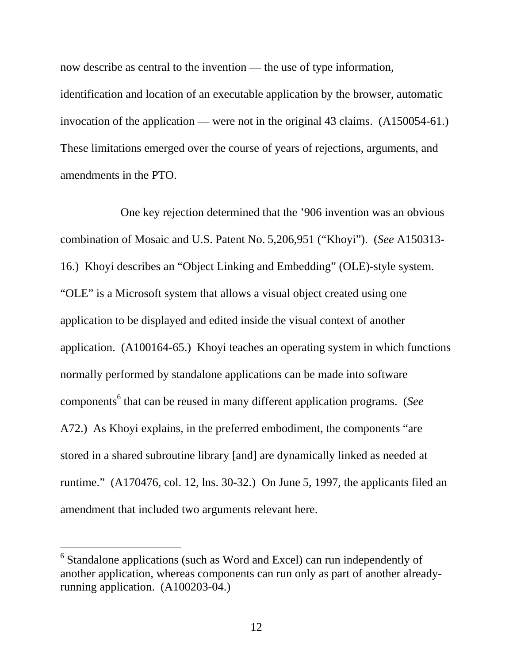now describe as central to the invention — the use of type information, identification and location of an executable application by the browser, automatic invocation of the application — were not in the original 43 claims. (A150054-61.) These limitations emerged over the course of years of rejections, arguments, and amendments in the PTO.

One key rejection determined that the '906 invention was an obvious combination of Mosaic and U.S. Patent No. 5,206,951 ("Khoyi"). (*See* A150313- 16.) Khoyi describes an "Object Linking and Embedding" (OLE)-style system. "OLE" is a Microsoft system that allows a visual object created using one application to be displayed and edited inside the visual context of another application. (A100164-65.) Khoyi teaches an operating system in which functions normally performed by standalone applications can be made into software components<sup>6</sup> that can be reused in many different application programs. (*See* A72.) As Khoyi explains, in the preferred embodiment, the components "are stored in a shared subroutine library [and] are dynamically linked as needed at runtime." (A170476, col. 12, lns. 30-32.) On June 5, 1997, the applicants filed an amendment that included two arguments relevant here.

-

 $6$  Standalone applications (such as Word and Excel) can run independently of another application, whereas components can run only as part of another alreadyrunning application. (A100203-04.)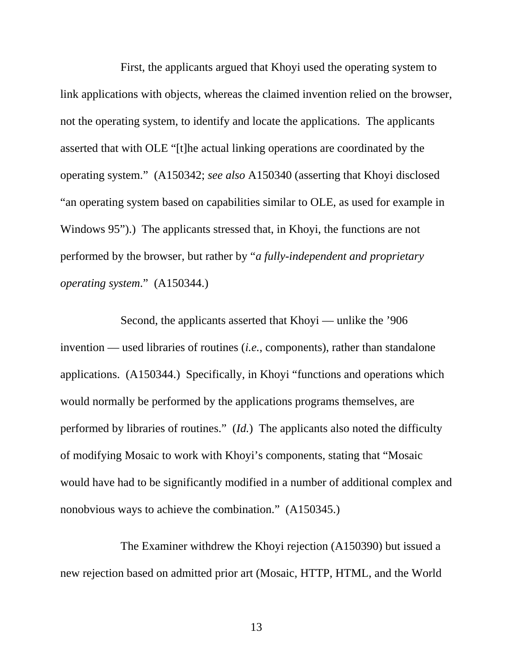First, the applicants argued that Khoyi used the operating system to link applications with objects, whereas the claimed invention relied on the browser, not the operating system, to identify and locate the applications. The applicants asserted that with OLE "[t]he actual linking operations are coordinated by the operating system." (A150342; *see also* A150340 (asserting that Khoyi disclosed "an operating system based on capabilities similar to OLE, as used for example in Windows 95").) The applicants stressed that, in Khoyi, the functions are not performed by the browser, but rather by "*a fully-independent and proprietary operating system*." (A150344.)

Second, the applicants asserted that Khoyi — unlike the '906 invention — used libraries of routines (*i.e.*, components), rather than standalone applications. (A150344.) Specifically, in Khoyi "functions and operations which would normally be performed by the applications programs themselves, are performed by libraries of routines." (*Id.*) The applicants also noted the difficulty of modifying Mosaic to work with Khoyi's components, stating that "Mosaic would have had to be significantly modified in a number of additional complex and nonobvious ways to achieve the combination." (A150345.)

The Examiner withdrew the Khoyi rejection (A150390) but issued a new rejection based on admitted prior art (Mosaic, HTTP, HTML, and the World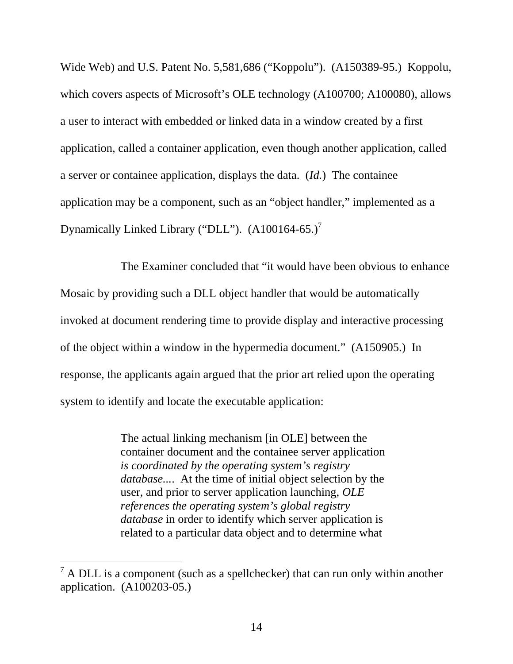Wide Web) and U.S. Patent No. 5,581,686 ("Koppolu"). (A150389-95.) Koppolu, which covers aspects of Microsoft's OLE technology (A100700; A100080), allows a user to interact with embedded or linked data in a window created by a first application, called a container application, even though another application, called a server or containee application, displays the data. (*Id.*) The containee application may be a component, such as an "object handler," implemented as a Dynamically Linked Library ("DLL"). (A100164-65.)<sup>7</sup>

The Examiner concluded that "it would have been obvious to enhance Mosaic by providing such a DLL object handler that would be automatically invoked at document rendering time to provide display and interactive processing of the object within a window in the hypermedia document." (A150905.) In response, the applicants again argued that the prior art relied upon the operating system to identify and locate the executable application:

> The actual linking mechanism [in OLE] between the container document and the containee server application *is coordinated by the operating system's registry database...*. At the time of initial object selection by the user, and prior to server application launching, *OLE references the operating system's global registry database* in order to identify which server application is related to a particular data object and to determine what

-

 $<sup>7</sup>$  A DLL is a component (such as a spellchecker) that can run only within another</sup> application. (A100203-05.)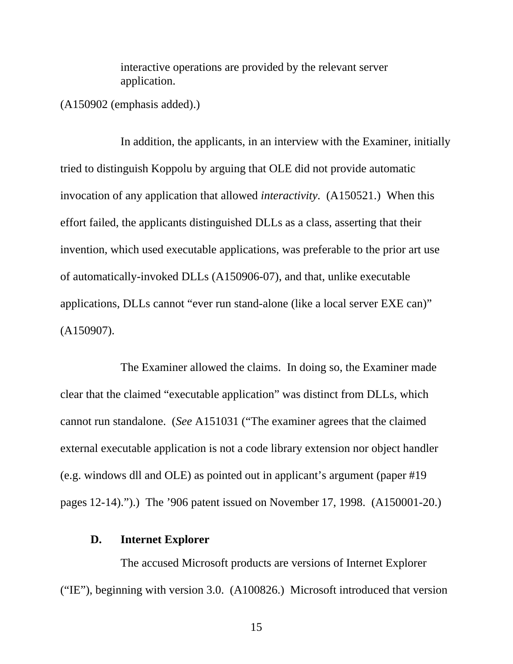interactive operations are provided by the relevant server application.

(A150902 (emphasis added).)

In addition, the applicants, in an interview with the Examiner, initially tried to distinguish Koppolu by arguing that OLE did not provide automatic invocation of any application that allowed *interactivity*. (A150521.) When this effort failed, the applicants distinguished DLLs as a class, asserting that their invention, which used executable applications, was preferable to the prior art use of automatically-invoked DLLs (A150906-07), and that, unlike executable applications, DLLs cannot "ever run stand-alone (like a local server EXE can)" (A150907).

The Examiner allowed the claims. In doing so, the Examiner made clear that the claimed "executable application" was distinct from DLLs, which cannot run standalone. (*See* A151031 ("The examiner agrees that the claimed external executable application is not a code library extension nor object handler (e.g. windows dll and OLE) as pointed out in applicant's argument (paper #19 pages 12-14).").) The '906 patent issued on November 17, 1998. (A150001-20.)

#### **D. Internet Explorer**

The accused Microsoft products are versions of Internet Explorer ("IE"), beginning with version 3.0. (A100826.) Microsoft introduced that version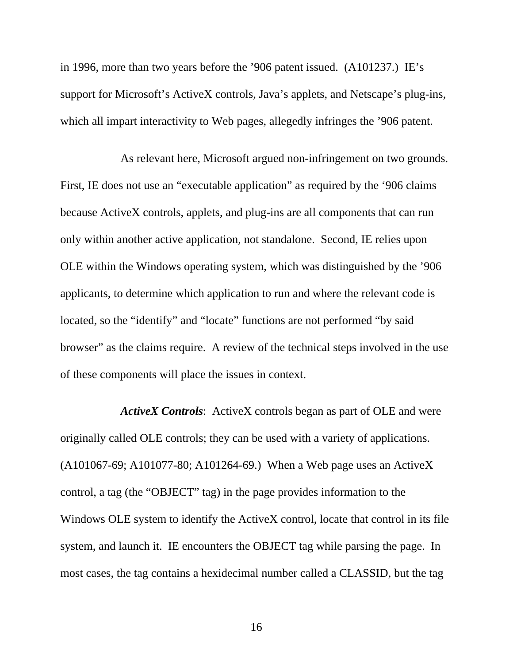in 1996, more than two years before the '906 patent issued. (A101237.) IE's support for Microsoft's ActiveX controls, Java's applets, and Netscape's plug-ins, which all impart interactivity to Web pages, allegedly infringes the '906 patent.

As relevant here, Microsoft argued non-infringement on two grounds. First, IE does not use an "executable application" as required by the '906 claims because ActiveX controls, applets, and plug-ins are all components that can run only within another active application, not standalone. Second, IE relies upon OLE within the Windows operating system, which was distinguished by the '906 applicants, to determine which application to run and where the relevant code is located, so the "identify" and "locate" functions are not performed "by said browser" as the claims require. A review of the technical steps involved in the use of these components will place the issues in context.

*ActiveX Controls*: ActiveX controls began as part of OLE and were originally called OLE controls; they can be used with a variety of applications. (A101067-69; A101077-80; A101264-69.) When a Web page uses an ActiveX control, a tag (the "OBJECT" tag) in the page provides information to the Windows OLE system to identify the ActiveX control, locate that control in its file system, and launch it. IE encounters the OBJECT tag while parsing the page. In most cases, the tag contains a hexidecimal number called a CLASSID, but the tag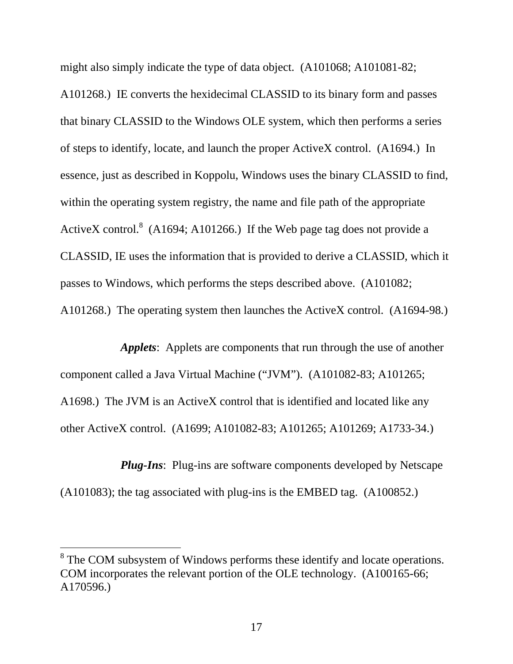might also simply indicate the type of data object. (A101068; A101081-82; A101268.) IE converts the hexidecimal CLASSID to its binary form and passes that binary CLASSID to the Windows OLE system, which then performs a series of steps to identify, locate, and launch the proper ActiveX control. (A1694.) In essence, just as described in Koppolu, Windows uses the binary CLASSID to find, within the operating system registry, the name and file path of the appropriate ActiveX control.<sup>8</sup> (A1694; A101266.) If the Web page tag does not provide a CLASSID, IE uses the information that is provided to derive a CLASSID, which it passes to Windows, which performs the steps described above. (A101082; A101268.) The operating system then launches the ActiveX control. (A1694-98*.*)

*Applets*: Applets are components that run through the use of another component called a Java Virtual Machine ("JVM"). (A101082-83; A101265; A1698.) The JVM is an ActiveX control that is identified and located like any other ActiveX control. (A1699; A101082-83; A101265; A101269; A1733-34.)

*Plug-Ins*: Plug-ins are software components developed by Netscape (A101083); the tag associated with plug-ins is the EMBED tag. (A100852.)

 $\overline{a}$ 

<sup>&</sup>lt;sup>8</sup> The COM subsystem of Windows performs these identify and locate operations. COM incorporates the relevant portion of the OLE technology. (A100165-66; A170596.)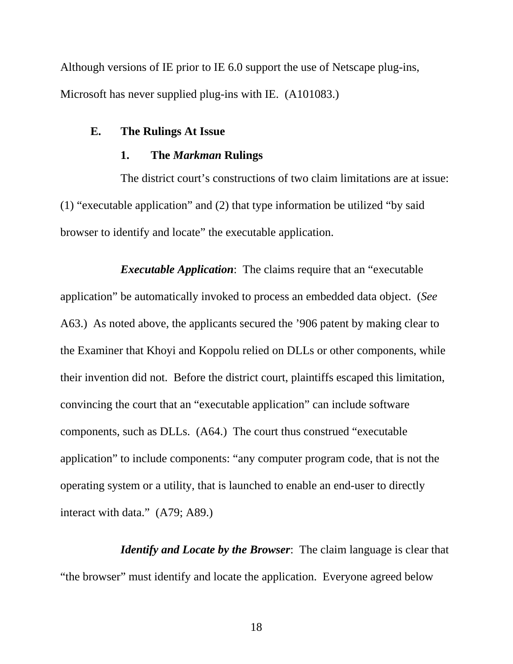Although versions of IE prior to IE 6.0 support the use of Netscape plug-ins, Microsoft has never supplied plug-ins with IE. (A101083.)

### **E. The Rulings At Issue**

#### **1. The** *Markman* **Rulings**

The district court's constructions of two claim limitations are at issue: (1) "executable application" and (2) that type information be utilized "by said browser to identify and locate" the executable application.

*Executable Application*: The claims require that an "executable application" be automatically invoked to process an embedded data object. (*See* A63.) As noted above, the applicants secured the '906 patent by making clear to the Examiner that Khoyi and Koppolu relied on DLLs or other components, while their invention did not. Before the district court, plaintiffs escaped this limitation, convincing the court that an "executable application" can include software components, such as DLLs. (A64.) The court thus construed "executable application" to include components: "any computer program code, that is not the operating system or a utility, that is launched to enable an end-user to directly interact with data." (A79; A89.)

*Identify and Locate by the Browser*: The claim language is clear that "the browser" must identify and locate the application. Everyone agreed below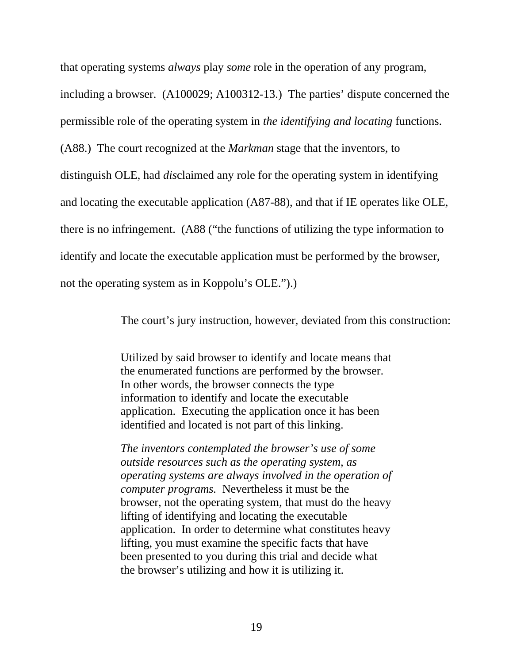that operating systems *always* play *some* role in the operation of any program, including a browser. (A100029; A100312-13.) The parties' dispute concerned the permissible role of the operating system in *the identifying and locating* functions. (A88.) The court recognized at the *Markman* stage that the inventors, to distinguish OLE, had *dis*claimed any role for the operating system in identifying and locating the executable application (A87-88), and that if IE operates like OLE, there is no infringement. (A88 ("the functions of utilizing the type information to identify and locate the executable application must be performed by the browser, not the operating system as in Koppolu's OLE.").)

The court's jury instruction, however, deviated from this construction:

Utilized by said browser to identify and locate means that the enumerated functions are performed by the browser. In other words, the browser connects the type information to identify and locate the executable application. Executing the application once it has been identified and located is not part of this linking.

*The inventors contemplated the browser's use of some outside resources such as the operating system, as operating systems are always involved in the operation of computer programs.* Nevertheless it must be the browser, not the operating system, that must do the heavy lifting of identifying and locating the executable application. In order to determine what constitutes heavy lifting, you must examine the specific facts that have been presented to you during this trial and decide what the browser's utilizing and how it is utilizing it.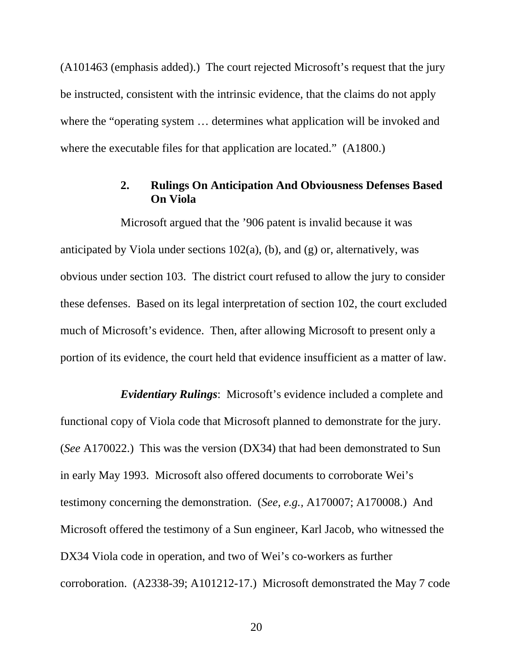(A101463 (emphasis added).) The court rejected Microsoft's request that the jury be instructed, consistent with the intrinsic evidence, that the claims do not apply where the "operating system … determines what application will be invoked and where the executable files for that application are located." (A1800.)

## **2. Rulings On Anticipation And Obviousness Defenses Based On Viola**

Microsoft argued that the '906 patent is invalid because it was anticipated by Viola under sections  $102(a)$ , (b), and (g) or, alternatively, was obvious under section 103. The district court refused to allow the jury to consider these defenses. Based on its legal interpretation of section 102, the court excluded much of Microsoft's evidence. Then, after allowing Microsoft to present only a portion of its evidence, the court held that evidence insufficient as a matter of law.

*Evidentiary Rulings*: Microsoft's evidence included a complete and functional copy of Viola code that Microsoft planned to demonstrate for the jury. (*See* A170022.) This was the version (DX34) that had been demonstrated to Sun in early May 1993. Microsoft also offered documents to corroborate Wei's testimony concerning the demonstration. (*See, e.g.,* A170007; A170008.) And Microsoft offered the testimony of a Sun engineer, Karl Jacob, who witnessed the DX34 Viola code in operation, and two of Wei's co-workers as further corroboration. (A2338-39; A101212-17.) Microsoft demonstrated the May 7 code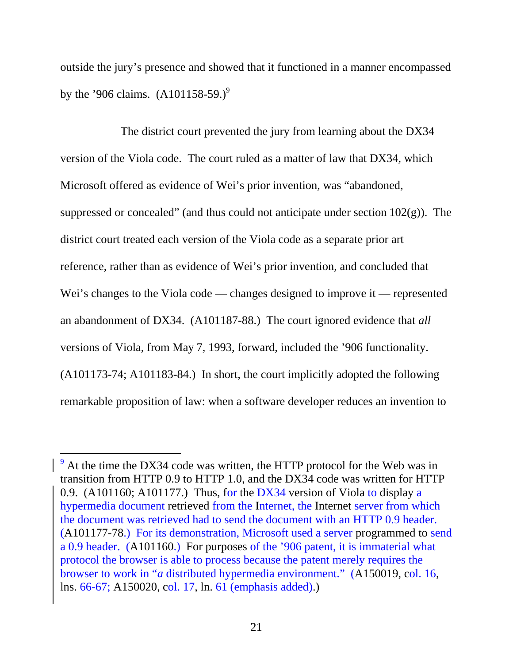outside the jury's presence and showed that it functioned in a manner encompassed by the '906 claims.  $(A101158-59.)^9$ 

The district court prevented the jury from learning about the DX34 version of the Viola code. The court ruled as a matter of law that DX34, which Microsoft offered as evidence of Wei's prior invention, was "abandoned, suppressed or concealed" (and thus could not anticipate under section  $102(g)$ ). The district court treated each version of the Viola code as a separate prior art reference, rather than as evidence of Wei's prior invention, and concluded that Wei's changes to the Viola code — changes designed to improve it — represented an abandonment of DX34. (A101187-88.) The court ignored evidence that *all*  versions of Viola, from May 7, 1993, forward, included the '906 functionality. (A101173-74; A101183-84.) In short, the court implicitly adopted the following remarkable proposition of law: when a software developer reduces an invention to

 $\overline{a}$ 

 $9<sup>9</sup>$  At the time the DX34 code was written, the HTTP protocol for the Web was in transition from HTTP 0.9 to HTTP 1.0, and the DX34 code was written for HTTP 0.9. (A101160; A101177.) Thus, for the DX34 version of Viola to display a hypermedia document retrieved from the Internet, the Internet server from which the document was retrieved had to send the document with an HTTP 0.9 header. (A101177-78.) For its demonstration, Microsoft used a server programmed to send a 0.9 header. (A101160.) For purposes of the '906 patent, it is immaterial what protocol the browser is able to process because the patent merely requires the browser to work in "*a* distributed hypermedia environment." (A150019, col. 16, lns. 66-67; A150020, col. 17, ln. 61 (emphasis added).)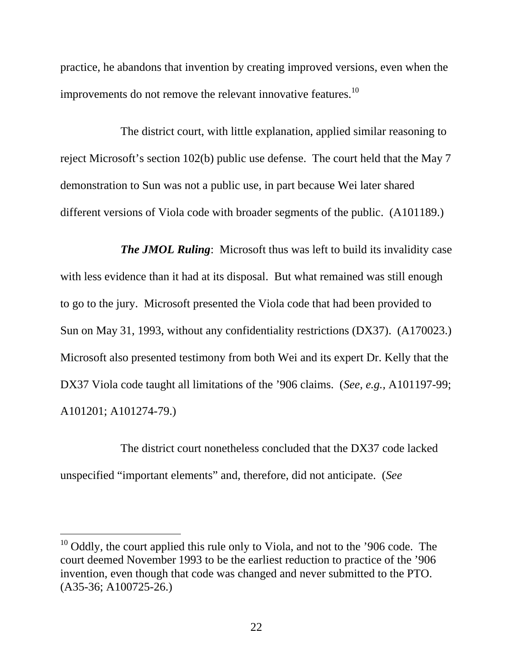practice, he abandons that invention by creating improved versions, even when the improvements do not remove the relevant innovative features.<sup>10</sup>

The district court, with little explanation, applied similar reasoning to reject Microsoft's section 102(b) public use defense. The court held that the May 7 demonstration to Sun was not a public use, in part because Wei later shared different versions of Viola code with broader segments of the public. (A101189.)

*The JMOL Ruling*: Microsoft thus was left to build its invalidity case with less evidence than it had at its disposal. But what remained was still enough to go to the jury. Microsoft presented the Viola code that had been provided to Sun on May 31, 1993, without any confidentiality restrictions (DX37). (A170023.) Microsoft also presented testimony from both Wei and its expert Dr. Kelly that the DX37 Viola code taught all limitations of the '906 claims. (*See, e.g.,* A101197-99; A101201; A101274-79.)

The district court nonetheless concluded that the DX37 code lacked unspecified "important elements" and, therefore, did not anticipate. (*See*

 $\overline{a}$ 

 $10$  Oddly, the court applied this rule only to Viola, and not to the '906 code. The court deemed November 1993 to be the earliest reduction to practice of the '906 invention, even though that code was changed and never submitted to the PTO. (A35-36; A100725-26.)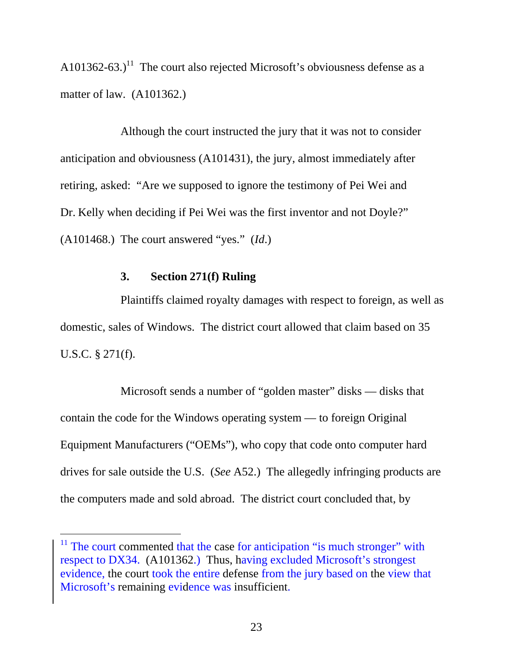A101362-63.)<sup>11</sup> The court also rejected Microsoft's obviousness defense as a matter of law. (A101362.)

Although the court instructed the jury that it was not to consider anticipation and obviousness (A101431), the jury, almost immediately after retiring, asked: "Are we supposed to ignore the testimony of Pei Wei and Dr. Kelly when deciding if Pei Wei was the first inventor and not Doyle?" (A101468.) The court answered "yes." (*Id*.)

#### **3. Section 271(f) Ruling**

-

Plaintiffs claimed royalty damages with respect to foreign, as well as domestic, sales of Windows. The district court allowed that claim based on 35 U.S.C. § 271(f).

Microsoft sends a number of "golden master" disks — disks that contain the code for the Windows operating system — to foreign Original Equipment Manufacturers ("OEMs"), who copy that code onto computer hard drives for sale outside the U.S. (*See* A52.) The allegedly infringing products are the computers made and sold abroad. The district court concluded that, by

 $11$  The court commented that the case for anticipation "is much stronger" with respect to DX34. (A101362.) Thus, having excluded Microsoft's strongest evidence, the court took the entire defense from the jury based on the view that Microsoft's remaining evidence was insufficient.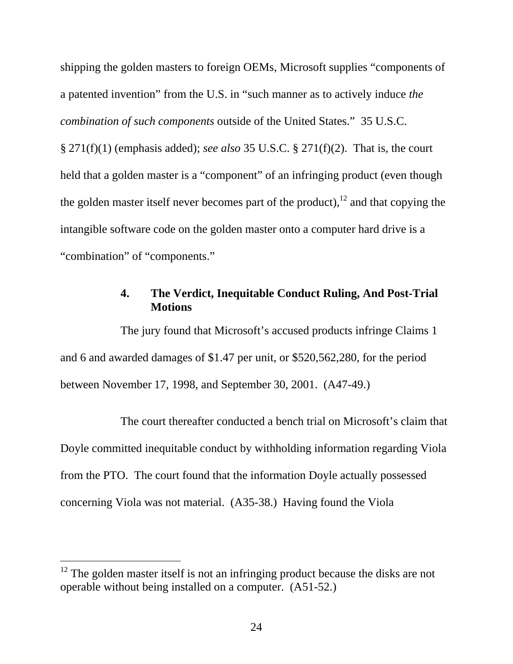shipping the golden masters to foreign OEMs, Microsoft supplies "components of a patented invention" from the U.S. in "such manner as to actively induce *the combination of such components* outside of the United States." 35 U.S.C. § 271(f)(1) (emphasis added); *see also* 35 U.S.C. § 271(f)(2). That is, the court held that a golden master is a "component" of an infringing product (even though the golden master itself never becomes part of the product), $12$  and that copying the intangible software code on the golden master onto a computer hard drive is a "combination" of "components."

### **4. The Verdict, Inequitable Conduct Ruling, And Post-Trial Motions**

The jury found that Microsoft's accused products infringe Claims 1 and 6 and awarded damages of \$1.47 per unit, or \$520,562,280, for the period between November 17, 1998, and September 30, 2001. (A47-49.)

The court thereafter conducted a bench trial on Microsoft's claim that Doyle committed inequitable conduct by withholding information regarding Viola from the PTO. The court found that the information Doyle actually possessed concerning Viola was not material. (A35-38.) Having found the Viola

-

 $12$  The golden master itself is not an infringing product because the disks are not operable without being installed on a computer. (A51-52.)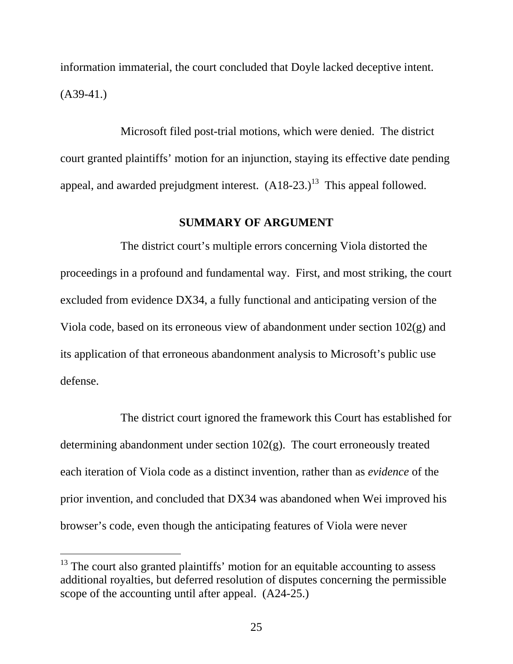information immaterial, the court concluded that Doyle lacked deceptive intent.  $(A39-41.)$ 

Microsoft filed post-trial motions, which were denied. The district court granted plaintiffs' motion for an injunction, staying its effective date pending appeal, and awarded prejudgment interest.  $(A18-23.)^{13}$  This appeal followed.

### **SUMMARY OF ARGUMENT**

The district court's multiple errors concerning Viola distorted the proceedings in a profound and fundamental way. First, and most striking, the court excluded from evidence DX34, a fully functional and anticipating version of the Viola code, based on its erroneous view of abandonment under section 102(g) and its application of that erroneous abandonment analysis to Microsoft's public use defense.

The district court ignored the framework this Court has established for determining abandonment under section 102(g). The court erroneously treated each iteration of Viola code as a distinct invention, rather than as *evidence* of the prior invention, and concluded that DX34 was abandoned when Wei improved his browser's code, even though the anticipating features of Viola were never

 $\overline{a}$ 

 $13$  The court also granted plaintiffs' motion for an equitable accounting to assess additional royalties, but deferred resolution of disputes concerning the permissible scope of the accounting until after appeal. (A24-25.)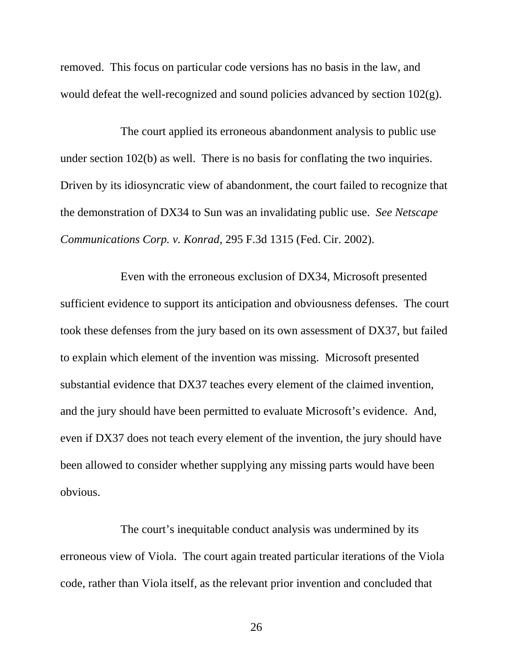removed. This focus on particular code versions has no basis in the law, and would defeat the well-recognized and sound policies advanced by section 102(g).

The court applied its erroneous abandonment analysis to public use under section 102(b) as well. There is no basis for conflating the two inquiries. Driven by its idiosyncratic view of abandonment, the court failed to recognize that the demonstration of DX34 to Sun was an invalidating public use. *See Netscape Communications Corp. v. Konrad*, 295 F.3d 1315 (Fed. Cir. 2002).

Even with the erroneous exclusion of DX34, Microsoft presented sufficient evidence to support its anticipation and obviousness defenses. The court took these defenses from the jury based on its own assessment of DX37, but failed to explain which element of the invention was missing. Microsoft presented substantial evidence that DX37 teaches every element of the claimed invention, and the jury should have been permitted to evaluate Microsoft's evidence. And, even if DX37 does not teach every element of the invention, the jury should have been allowed to consider whether supplying any missing parts would have been obvious.

The court's inequitable conduct analysis was undermined by its erroneous view of Viola. The court again treated particular iterations of the Viola code, rather than Viola itself, as the relevant prior invention and concluded that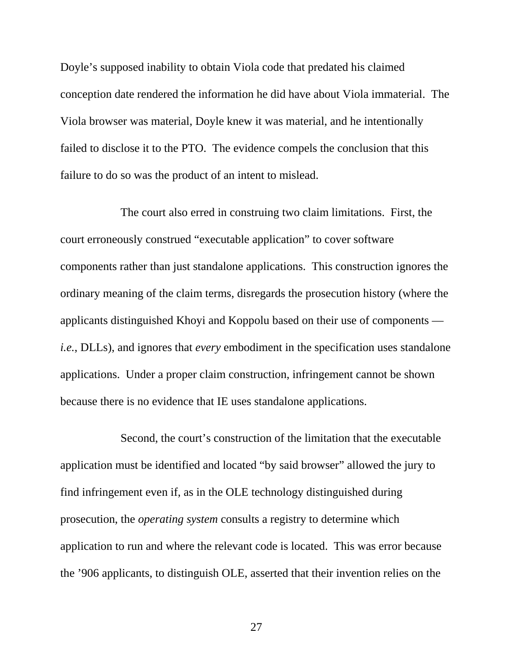Doyle's supposed inability to obtain Viola code that predated his claimed conception date rendered the information he did have about Viola immaterial. The Viola browser was material, Doyle knew it was material, and he intentionally failed to disclose it to the PTO. The evidence compels the conclusion that this failure to do so was the product of an intent to mislead.

The court also erred in construing two claim limitations. First, the court erroneously construed "executable application" to cover software components rather than just standalone applications. This construction ignores the ordinary meaning of the claim terms, disregards the prosecution history (where the applicants distinguished Khoyi and Koppolu based on their use of components *i.e.*, DLLs), and ignores that *every* embodiment in the specification uses standalone applications. Under a proper claim construction, infringement cannot be shown because there is no evidence that IE uses standalone applications.

Second, the court's construction of the limitation that the executable application must be identified and located "by said browser" allowed the jury to find infringement even if, as in the OLE technology distinguished during prosecution, the *operating system* consults a registry to determine which application to run and where the relevant code is located. This was error because the '906 applicants, to distinguish OLE, asserted that their invention relies on the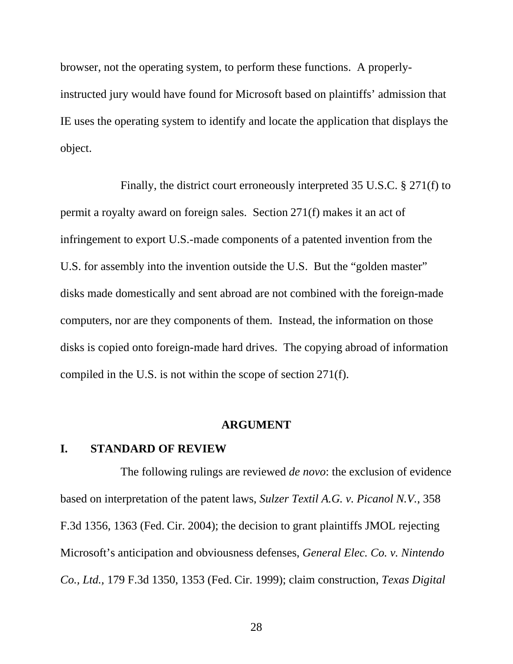browser, not the operating system, to perform these functions. A properlyinstructed jury would have found for Microsoft based on plaintiffs' admission that IE uses the operating system to identify and locate the application that displays the object.

Finally, the district court erroneously interpreted 35 U.S.C. § 271(f) to permit a royalty award on foreign sales. Section 271(f) makes it an act of infringement to export U.S.-made components of a patented invention from the U.S. for assembly into the invention outside the U.S. But the "golden master" disks made domestically and sent abroad are not combined with the foreign-made computers, nor are they components of them. Instead, the information on those disks is copied onto foreign-made hard drives. The copying abroad of information compiled in the U.S. is not within the scope of section 271(f).

#### **ARGUMENT**

#### **I. STANDARD OF REVIEW**

The following rulings are reviewed *de novo*: the exclusion of evidence based on interpretation of the patent laws, *Sulzer Textil A.G. v. Picanol N.V.*, 358 F.3d 1356, 1363 (Fed. Cir. 2004); the decision to grant plaintiffs JMOL rejecting Microsoft's anticipation and obviousness defenses, *General Elec. Co. v. Nintendo Co., Ltd.,* 179 F.3d 1350, 1353 (Fed. Cir. 1999); claim construction, *Texas Digital*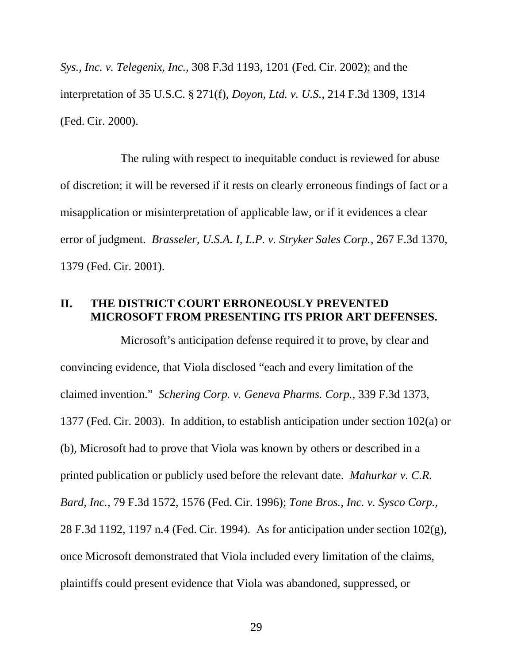*Sys., Inc. v. Telegenix, Inc.*, 308 F.3d 1193, 1201 (Fed. Cir. 2002); and the interpretation of 35 U.S.C. § 271(f), *Doyon, Ltd. v. U.S.*, 214 F.3d 1309, 1314 (Fed. Cir. 2000).

The ruling with respect to inequitable conduct is reviewed for abuse of discretion; it will be reversed if it rests on clearly erroneous findings of fact or a misapplication or misinterpretation of applicable law, or if it evidences a clear error of judgment. *Brasseler, U.S.A. I, L.P. v. Stryker Sales Corp.*, 267 F.3d 1370, 1379 (Fed. Cir. 2001).

#### **II. THE DISTRICT COURT ERRONEOUSLY PREVENTED MICROSOFT FROM PRESENTING ITS PRIOR ART DEFENSES.**

Microsoft's anticipation defense required it to prove, by clear and convincing evidence, that Viola disclosed "each and every limitation of the claimed invention." *Schering Corp. v. Geneva Pharms. Corp.*, 339 F.3d 1373, 1377 (Fed. Cir. 2003). In addition, to establish anticipation under section 102(a) or (b), Microsoft had to prove that Viola was known by others or described in a printed publication or publicly used before the relevant date. *Mahurkar v. C.R. Bard, Inc.*, 79 F.3d 1572, 1576 (Fed. Cir. 1996); *Tone Bros., Inc. v. Sysco Corp.*, 28 F.3d 1192, 1197 n.4 (Fed. Cir. 1994). As for anticipation under section 102(g), once Microsoft demonstrated that Viola included every limitation of the claims, plaintiffs could present evidence that Viola was abandoned, suppressed, or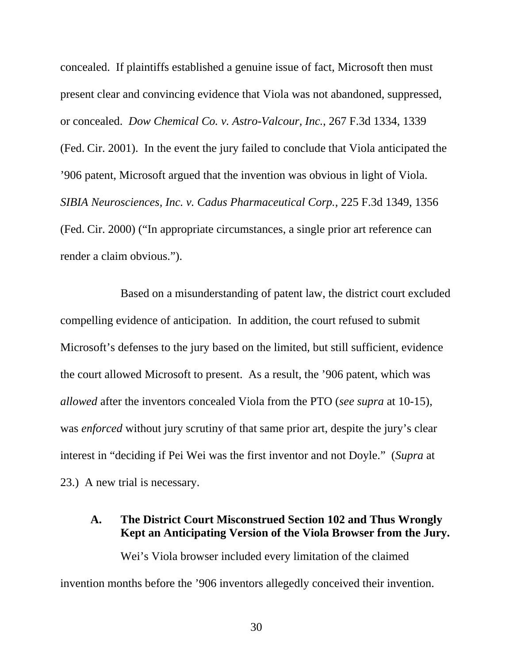concealed. If plaintiffs established a genuine issue of fact, Microsoft then must present clear and convincing evidence that Viola was not abandoned, suppressed, or concealed. *Dow Chemical Co. v. Astro-Valcour, Inc.*, 267 F.3d 1334, 1339 (Fed. Cir. 2001). In the event the jury failed to conclude that Viola anticipated the '906 patent, Microsoft argued that the invention was obvious in light of Viola. *SIBIA Neurosciences, Inc. v. Cadus Pharmaceutical Corp.*, 225 F.3d 1349, 1356 (Fed. Cir. 2000) ("In appropriate circumstances, a single prior art reference can render a claim obvious.").

Based on a misunderstanding of patent law, the district court excluded compelling evidence of anticipation. In addition, the court refused to submit Microsoft's defenses to the jury based on the limited, but still sufficient, evidence the court allowed Microsoft to present. As a result, the '906 patent, which was *allowed* after the inventors concealed Viola from the PTO (*see supra* at 10-15), was *enforced* without jury scrutiny of that same prior art, despite the jury's clear interest in "deciding if Pei Wei was the first inventor and not Doyle." (*Supra* at 23.) A new trial is necessary.

### **A. The District Court Misconstrued Section 102 and Thus Wrongly Kept an Anticipating Version of the Viola Browser from the Jury.**

Wei's Viola browser included every limitation of the claimed invention months before the '906 inventors allegedly conceived their invention.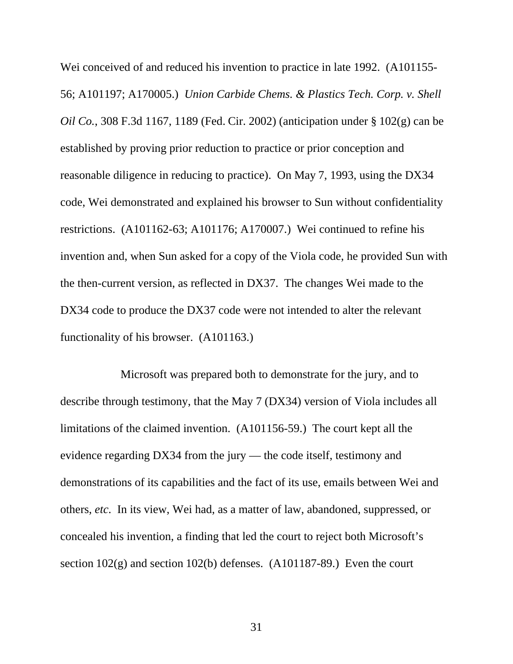Wei conceived of and reduced his invention to practice in late 1992. (A101155- 56; A101197; A170005.) *Union Carbide Chems. & Plastics Tech. Corp. v. Shell Oil Co.*, 308 F.3d 1167, 1189 (Fed. Cir. 2002) (anticipation under § 102(g) can be established by proving prior reduction to practice or prior conception and reasonable diligence in reducing to practice). On May 7, 1993, using the DX34 code, Wei demonstrated and explained his browser to Sun without confidentiality restrictions. (A101162-63; A101176; A170007.) Wei continued to refine his invention and, when Sun asked for a copy of the Viola code, he provided Sun with the then-current version, as reflected in DX37. The changes Wei made to the DX34 code to produce the DX37 code were not intended to alter the relevant functionality of his browser. (A101163.)

Microsoft was prepared both to demonstrate for the jury, and to describe through testimony, that the May 7 (DX34) version of Viola includes all limitations of the claimed invention. (A101156-59.) The court kept all the evidence regarding DX34 from the jury — the code itself, testimony and demonstrations of its capabilities and the fact of its use, emails between Wei and others, *etc*. In its view, Wei had, as a matter of law, abandoned, suppressed, or concealed his invention, a finding that led the court to reject both Microsoft's section 102(g) and section 102(b) defenses. (A101187-89.) Even the court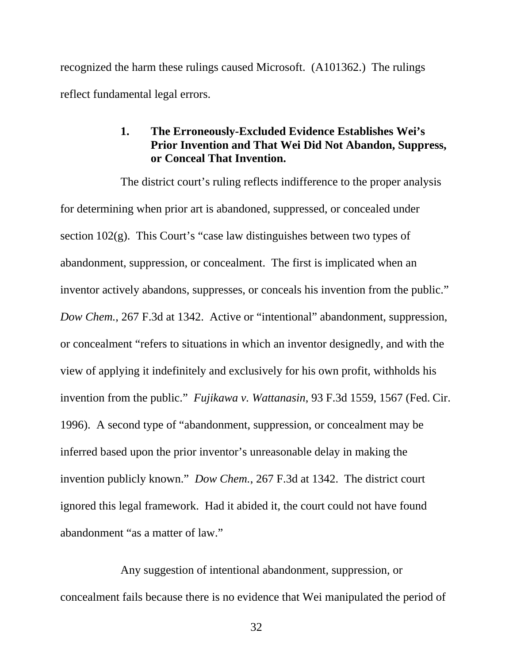recognized the harm these rulings caused Microsoft. (A101362.) The rulings reflect fundamental legal errors.

# **1. The Erroneously-Excluded Evidence Establishes Wei's Prior Invention and That Wei Did Not Abandon, Suppress, or Conceal That Invention.**

The district court's ruling reflects indifference to the proper analysis for determining when prior art is abandoned, suppressed, or concealed under section 102(g). This Court's "case law distinguishes between two types of abandonment, suppression, or concealment. The first is implicated when an inventor actively abandons, suppresses, or conceals his invention from the public." *Dow Chem.*, 267 F.3d at 1342. Active or "intentional" abandonment, suppression, or concealment "refers to situations in which an inventor designedly, and with the view of applying it indefinitely and exclusively for his own profit, withholds his invention from the public." *Fujikawa v. Wattanasin*, 93 F.3d 1559, 1567 (Fed. Cir. 1996). A second type of "abandonment, suppression, or concealment may be inferred based upon the prior inventor's unreasonable delay in making the invention publicly known." *Dow Chem.*, 267 F.3d at 1342. The district court ignored this legal framework. Had it abided it, the court could not have found abandonment "as a matter of law."

Any suggestion of intentional abandonment, suppression, or concealment fails because there is no evidence that Wei manipulated the period of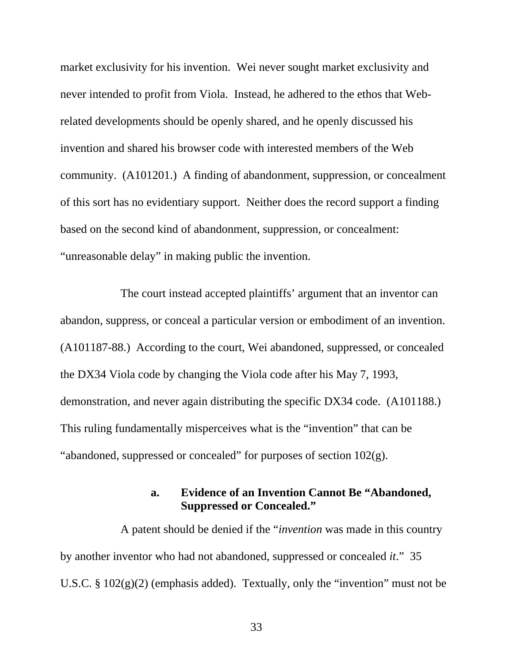market exclusivity for his invention. Wei never sought market exclusivity and never intended to profit from Viola. Instead, he adhered to the ethos that Webrelated developments should be openly shared, and he openly discussed his invention and shared his browser code with interested members of the Web community. (A101201.) A finding of abandonment, suppression, or concealment of this sort has no evidentiary support. Neither does the record support a finding based on the second kind of abandonment, suppression, or concealment: "unreasonable delay" in making public the invention.

The court instead accepted plaintiffs' argument that an inventor can abandon, suppress, or conceal a particular version or embodiment of an invention. (A101187-88.) According to the court, Wei abandoned, suppressed, or concealed the DX34 Viola code by changing the Viola code after his May 7, 1993, demonstration, and never again distributing the specific DX34 code. (A101188.) This ruling fundamentally misperceives what is the "invention" that can be "abandoned, suppressed or concealed" for purposes of section 102(g).

# **a. Evidence of an Invention Cannot Be "Abandoned, Suppressed or Concealed."**

A patent should be denied if the "*invention* was made in this country by another inventor who had not abandoned, suppressed or concealed *it*." 35 U.S.C.  $\S 102(g)(2)$  (emphasis added). Textually, only the "invention" must not be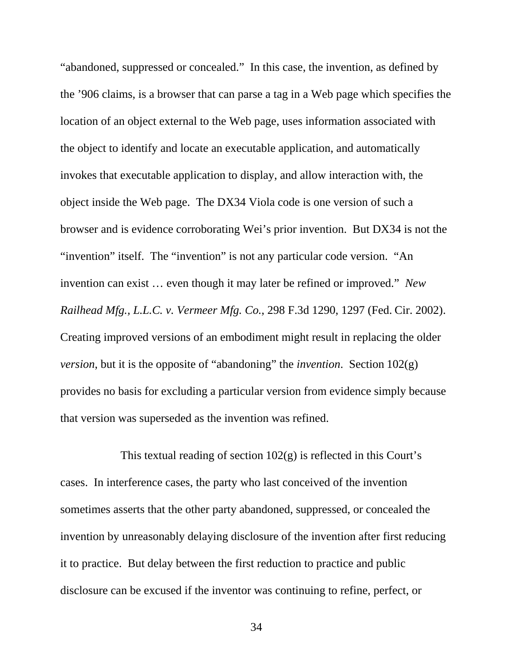"abandoned, suppressed or concealed." In this case, the invention, as defined by the '906 claims, is a browser that can parse a tag in a Web page which specifies the location of an object external to the Web page, uses information associated with the object to identify and locate an executable application, and automatically invokes that executable application to display, and allow interaction with, the object inside the Web page. The DX34 Viola code is one version of such a browser and is evidence corroborating Wei's prior invention. But DX34 is not the "invention" itself. The "invention" is not any particular code version. "An invention can exist … even though it may later be refined or improved." *New Railhead Mfg., L.L.C. v. Vermeer Mfg. Co.*, 298 F.3d 1290, 1297 (Fed. Cir. 2002). Creating improved versions of an embodiment might result in replacing the older *version*, but it is the opposite of "abandoning" the *invention*. Section 102(g) provides no basis for excluding a particular version from evidence simply because that version was superseded as the invention was refined.

This textual reading of section  $102(g)$  is reflected in this Court's cases. In interference cases, the party who last conceived of the invention sometimes asserts that the other party abandoned, suppressed, or concealed the invention by unreasonably delaying disclosure of the invention after first reducing it to practice. But delay between the first reduction to practice and public disclosure can be excused if the inventor was continuing to refine, perfect, or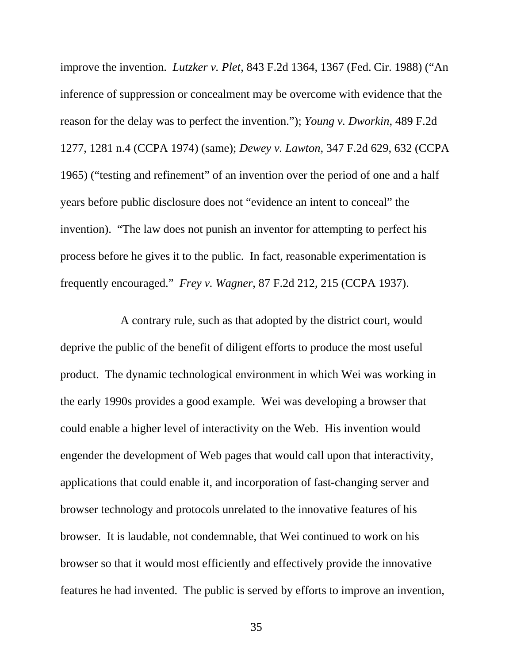improve the invention. *Lutzker v. Plet*, 843 F.2d 1364, 1367 (Fed. Cir. 1988) ("An inference of suppression or concealment may be overcome with evidence that the reason for the delay was to perfect the invention."); *Young v. Dworkin*, 489 F.2d 1277, 1281 n.4 (CCPA 1974) (same); *Dewey v. Lawton*, 347 F.2d 629, 632 (CCPA 1965) ("testing and refinement" of an invention over the period of one and a half years before public disclosure does not "evidence an intent to conceal" the invention). "The law does not punish an inventor for attempting to perfect his process before he gives it to the public. In fact, reasonable experimentation is frequently encouraged." *Frey v. Wagner*, 87 F.2d 212, 215 (CCPA 1937).

A contrary rule, such as that adopted by the district court, would deprive the public of the benefit of diligent efforts to produce the most useful product. The dynamic technological environment in which Wei was working in the early 1990s provides a good example. Wei was developing a browser that could enable a higher level of interactivity on the Web. His invention would engender the development of Web pages that would call upon that interactivity, applications that could enable it, and incorporation of fast-changing server and browser technology and protocols unrelated to the innovative features of his browser. It is laudable, not condemnable, that Wei continued to work on his browser so that it would most efficiently and effectively provide the innovative features he had invented. The public is served by efforts to improve an invention,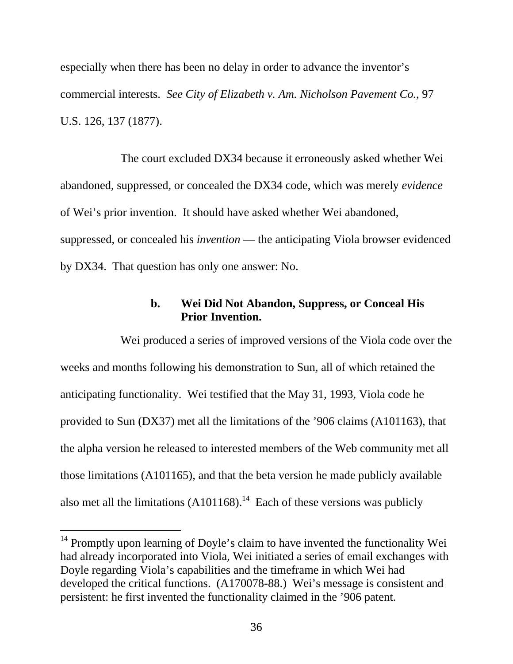especially when there has been no delay in order to advance the inventor's commercial interests. *See City of Elizabeth v. Am. Nicholson Pavement Co.*, 97 U.S. 126, 137 (1877).

The court excluded DX34 because it erroneously asked whether Wei abandoned, suppressed, or concealed the DX34 code, which was merely *evidence*  of Wei's prior invention. It should have asked whether Wei abandoned, suppressed, or concealed his *invention* — the anticipating Viola browser evidenced by DX34. That question has only one answer: No.

### **b. Wei Did Not Abandon, Suppress, or Conceal His Prior Invention.**

Wei produced a series of improved versions of the Viola code over the weeks and months following his demonstration to Sun, all of which retained the anticipating functionality. Wei testified that the May 31, 1993, Viola code he provided to Sun (DX37) met all the limitations of the '906 claims (A101163), that the alpha version he released to interested members of the Web community met all those limitations (A101165), and that the beta version he made publicly available also met all the limitations (A101168).<sup>14</sup> Each of these versions was publicly

-

<sup>&</sup>lt;sup>14</sup> Promptly upon learning of Doyle's claim to have invented the functionality Wei had already incorporated into Viola, Wei initiated a series of email exchanges with Doyle regarding Viola's capabilities and the timeframe in which Wei had developed the critical functions. (A170078-88.) Wei's message is consistent and persistent: he first invented the functionality claimed in the '906 patent.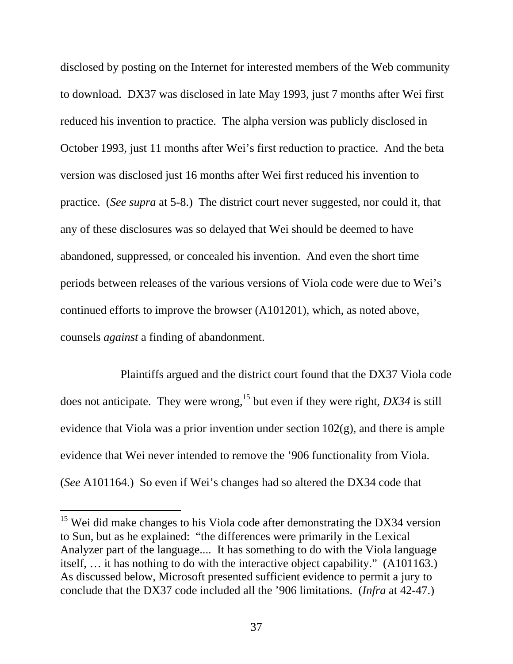disclosed by posting on the Internet for interested members of the Web community to download. DX37 was disclosed in late May 1993, just 7 months after Wei first reduced his invention to practice. The alpha version was publicly disclosed in October 1993, just 11 months after Wei's first reduction to practice. And the beta version was disclosed just 16 months after Wei first reduced his invention to practice. (*See supra* at 5-8.) The district court never suggested, nor could it, that any of these disclosures was so delayed that Wei should be deemed to have abandoned, suppressed, or concealed his invention. And even the short time periods between releases of the various versions of Viola code were due to Wei's continued efforts to improve the browser (A101201), which, as noted above, counsels *against* a finding of abandonment.

Plaintiffs argued and the district court found that the DX37 Viola code does not anticipate. They were wrong,15 but even if they were right, *DX34* is still evidence that Viola was a prior invention under section  $102(g)$ , and there is ample evidence that Wei never intended to remove the '906 functionality from Viola. (*See* A101164.) So even if Wei's changes had so altered the DX34 code that

-

 $15$  Wei did make changes to his Viola code after demonstrating the DX34 version to Sun, but as he explained: "the differences were primarily in the Lexical Analyzer part of the language.... It has something to do with the Viola language itself, … it has nothing to do with the interactive object capability." (A101163.) As discussed below, Microsoft presented sufficient evidence to permit a jury to conclude that the DX37 code included all the '906 limitations. (*Infra* at 42-47.)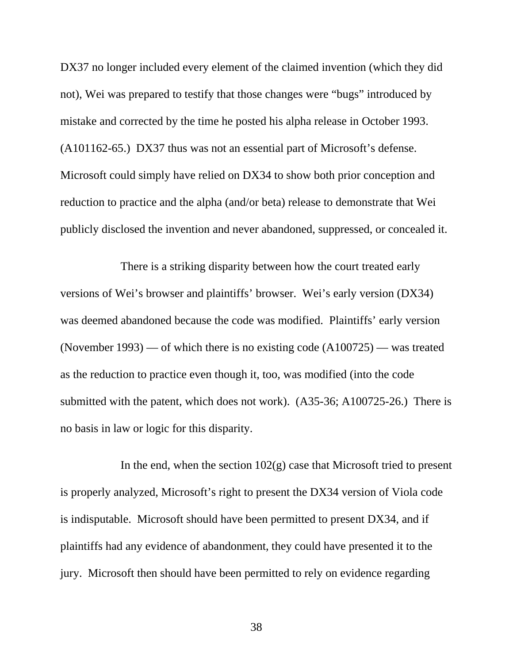DX37 no longer included every element of the claimed invention (which they did not), Wei was prepared to testify that those changes were "bugs" introduced by mistake and corrected by the time he posted his alpha release in October 1993. (A101162-65.) DX37 thus was not an essential part of Microsoft's defense. Microsoft could simply have relied on DX34 to show both prior conception and reduction to practice and the alpha (and/or beta) release to demonstrate that Wei publicly disclosed the invention and never abandoned, suppressed, or concealed it.

There is a striking disparity between how the court treated early versions of Wei's browser and plaintiffs' browser. Wei's early version (DX34) was deemed abandoned because the code was modified. Plaintiffs' early version (November 1993) — of which there is no existing code (A100725) — was treated as the reduction to practice even though it, too, was modified (into the code submitted with the patent, which does not work). (A35-36; A100725-26.) There is no basis in law or logic for this disparity.

In the end, when the section  $102(g)$  case that Microsoft tried to present is properly analyzed, Microsoft's right to present the DX34 version of Viola code is indisputable. Microsoft should have been permitted to present DX34, and if plaintiffs had any evidence of abandonment, they could have presented it to the jury. Microsoft then should have been permitted to rely on evidence regarding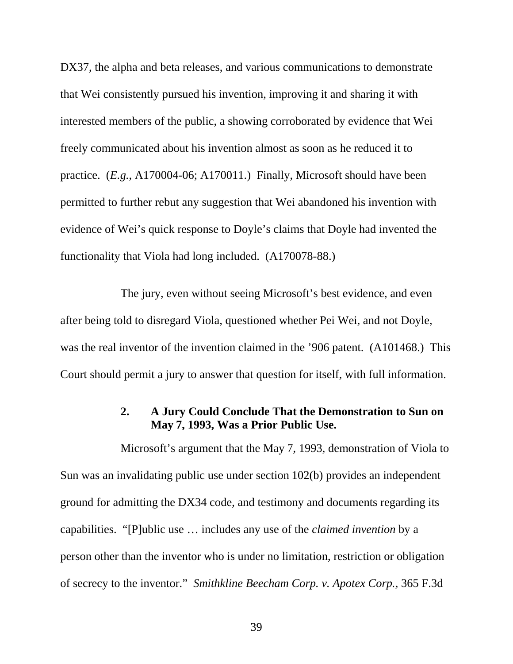DX37, the alpha and beta releases, and various communications to demonstrate that Wei consistently pursued his invention, improving it and sharing it with interested members of the public, a showing corroborated by evidence that Wei freely communicated about his invention almost as soon as he reduced it to practice. (*E.g.*, A170004-06; A170011.) Finally, Microsoft should have been permitted to further rebut any suggestion that Wei abandoned his invention with evidence of Wei's quick response to Doyle's claims that Doyle had invented the functionality that Viola had long included. (A170078-88.)

The jury, even without seeing Microsoft's best evidence, and even after being told to disregard Viola, questioned whether Pei Wei, and not Doyle, was the real inventor of the invention claimed in the '906 patent. (A101468.) This Court should permit a jury to answer that question for itself, with full information.

## **2. A Jury Could Conclude That the Demonstration to Sun on May 7, 1993, Was a Prior Public Use.**

Microsoft's argument that the May 7, 1993, demonstration of Viola to Sun was an invalidating public use under section 102(b) provides an independent ground for admitting the DX34 code, and testimony and documents regarding its capabilities. "[P]ublic use … includes any use of the *claimed invention* by a person other than the inventor who is under no limitation, restriction or obligation of secrecy to the inventor." *Smithkline Beecham Corp. v. Apotex Corp.,* 365 F.3d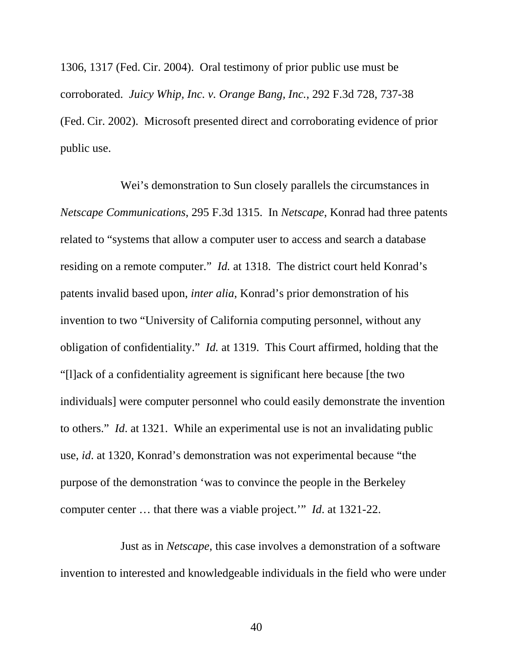1306, 1317 (Fed. Cir. 2004). Oral testimony of prior public use must be corroborated. *Juicy Whip, Inc. v. Orange Bang, Inc.*, 292 F.3d 728, 737-38 (Fed. Cir. 2002). Microsoft presented direct and corroborating evidence of prior public use.

Wei's demonstration to Sun closely parallels the circumstances in *Netscape Communications*, 295 F.3d 1315. In *Netscape*, Konrad had three patents related to "systems that allow a computer user to access and search a database residing on a remote computer." *Id.* at 1318. The district court held Konrad's patents invalid based upon, *inter alia*, Konrad's prior demonstration of his invention to two "University of California computing personnel, without any obligation of confidentiality." *Id.* at 1319. This Court affirmed, holding that the "[l]ack of a confidentiality agreement is significant here because [the two individuals] were computer personnel who could easily demonstrate the invention to others." *Id*. at 1321. While an experimental use is not an invalidating public use, *id*. at 1320, Konrad's demonstration was not experimental because "the purpose of the demonstration 'was to convince the people in the Berkeley computer center … that there was a viable project.'" *Id*. at 1321-22.

Just as in *Netscape*, this case involves a demonstration of a software invention to interested and knowledgeable individuals in the field who were under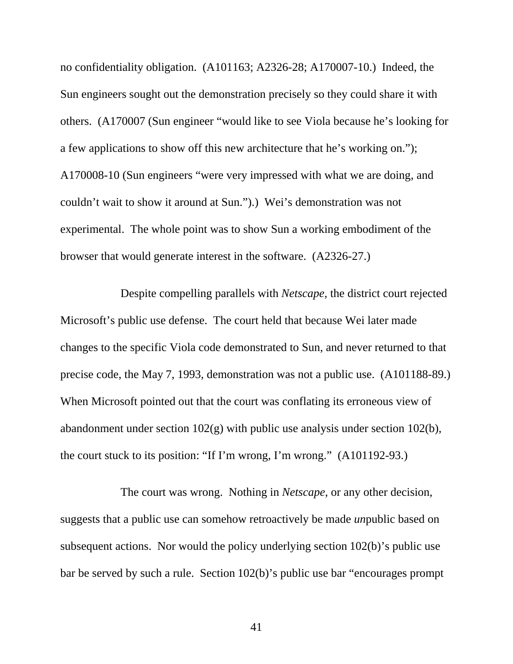no confidentiality obligation. (A101163; A2326-28; A170007-10.) Indeed, the Sun engineers sought out the demonstration precisely so they could share it with others. (A170007 (Sun engineer "would like to see Viola because he's looking for a few applications to show off this new architecture that he's working on."); A170008-10 (Sun engineers "were very impressed with what we are doing, and couldn't wait to show it around at Sun.").) Wei's demonstration was not experimental. The whole point was to show Sun a working embodiment of the browser that would generate interest in the software. (A2326-27.)

Despite compelling parallels with *Netscape*, the district court rejected Microsoft's public use defense. The court held that because Wei later made changes to the specific Viola code demonstrated to Sun, and never returned to that precise code, the May 7, 1993, demonstration was not a public use. (A101188-89.) When Microsoft pointed out that the court was conflating its erroneous view of abandonment under section 102(g) with public use analysis under section 102(b), the court stuck to its position: "If I'm wrong, I'm wrong." (A101192-93.)

The court was wrong. Nothing in *Netscape*, or any other decision, suggests that a public use can somehow retroactively be made *un*public based on subsequent actions. Nor would the policy underlying section 102(b)'s public use bar be served by such a rule. Section 102(b)'s public use bar "encourages prompt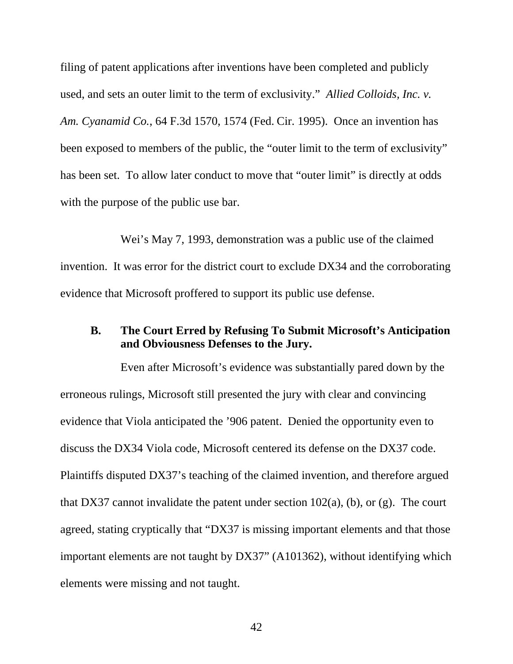filing of patent applications after inventions have been completed and publicly used, and sets an outer limit to the term of exclusivity." *Allied Colloids, Inc. v. Am. Cyanamid Co.*, 64 F.3d 1570, 1574 (Fed. Cir. 1995). Once an invention has been exposed to members of the public, the "outer limit to the term of exclusivity" has been set. To allow later conduct to move that "outer limit" is directly at odds with the purpose of the public use bar.

Wei's May 7, 1993, demonstration was a public use of the claimed invention. It was error for the district court to exclude DX34 and the corroborating evidence that Microsoft proffered to support its public use defense.

#### **B. The Court Erred by Refusing To Submit Microsoft's Anticipation and Obviousness Defenses to the Jury.**

Even after Microsoft's evidence was substantially pared down by the erroneous rulings, Microsoft still presented the jury with clear and convincing evidence that Viola anticipated the '906 patent. Denied the opportunity even to discuss the DX34 Viola code, Microsoft centered its defense on the DX37 code. Plaintiffs disputed DX37's teaching of the claimed invention, and therefore argued that DX37 cannot invalidate the patent under section  $102(a)$ , (b), or (g). The court agreed, stating cryptically that "DX37 is missing important elements and that those important elements are not taught by DX37" (A101362), without identifying which elements were missing and not taught.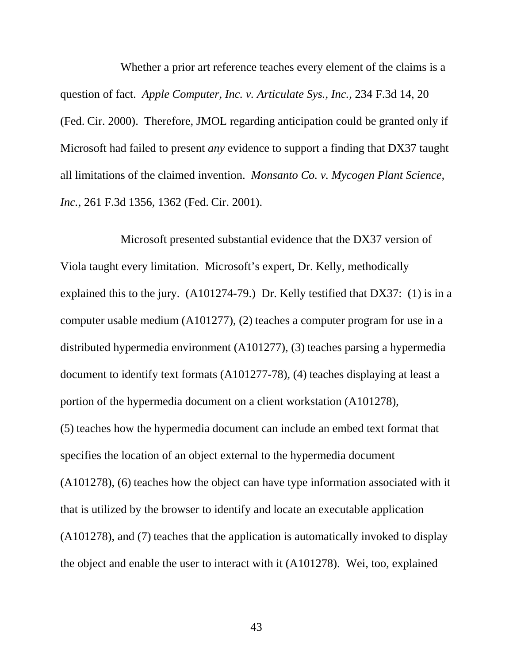Whether a prior art reference teaches every element of the claims is a question of fact. *Apple Computer, Inc. v. Articulate Sys., Inc.*, 234 F.3d 14, 20 (Fed. Cir. 2000). Therefore, JMOL regarding anticipation could be granted only if Microsoft had failed to present *any* evidence to support a finding that DX37 taught all limitations of the claimed invention. *Monsanto Co. v. Mycogen Plant Science, Inc.*, 261 F.3d 1356, 1362 (Fed. Cir. 2001).

Microsoft presented substantial evidence that the DX37 version of Viola taught every limitation. Microsoft's expert, Dr. Kelly, methodically explained this to the jury. (A101274-79.) Dr. Kelly testified that DX37: (1) is in a computer usable medium (A101277), (2) teaches a computer program for use in a distributed hypermedia environment (A101277), (3) teaches parsing a hypermedia document to identify text formats (A101277-78), (4) teaches displaying at least a portion of the hypermedia document on a client workstation (A101278), (5) teaches how the hypermedia document can include an embed text format that specifies the location of an object external to the hypermedia document (A101278), (6) teaches how the object can have type information associated with it that is utilized by the browser to identify and locate an executable application (A101278), and (7) teaches that the application is automatically invoked to display the object and enable the user to interact with it (A101278). Wei, too, explained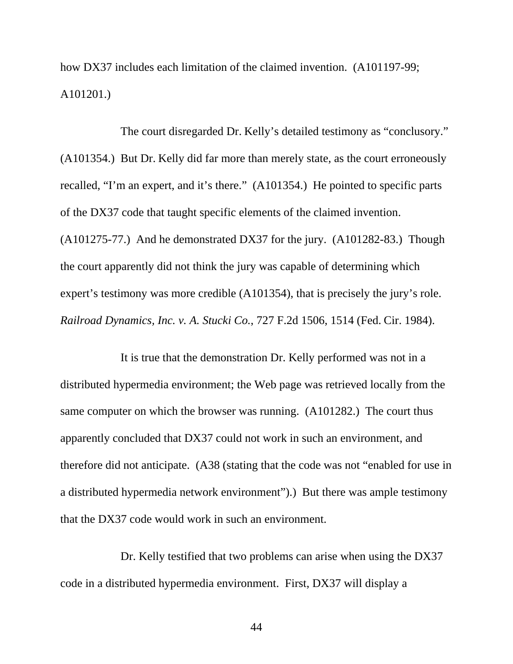how DX37 includes each limitation of the claimed invention. (A101197-99; A101201.)

The court disregarded Dr. Kelly's detailed testimony as "conclusory." (A101354.) But Dr. Kelly did far more than merely state, as the court erroneously recalled, "I'm an expert, and it's there." (A101354.) He pointed to specific parts of the DX37 code that taught specific elements of the claimed invention. (A101275-77.) And he demonstrated DX37 for the jury. (A101282-83.) Though the court apparently did not think the jury was capable of determining which expert's testimony was more credible (A101354), that is precisely the jury's role. *Railroad Dynamics, Inc. v. A. Stucki Co.*, 727 F.2d 1506, 1514 (Fed. Cir. 1984).

It is true that the demonstration Dr. Kelly performed was not in a distributed hypermedia environment; the Web page was retrieved locally from the same computer on which the browser was running. (A101282.) The court thus apparently concluded that DX37 could not work in such an environment, and therefore did not anticipate. (A38 (stating that the code was not "enabled for use in a distributed hypermedia network environment").) But there was ample testimony that the DX37 code would work in such an environment.

Dr. Kelly testified that two problems can arise when using the DX37 code in a distributed hypermedia environment. First, DX37 will display a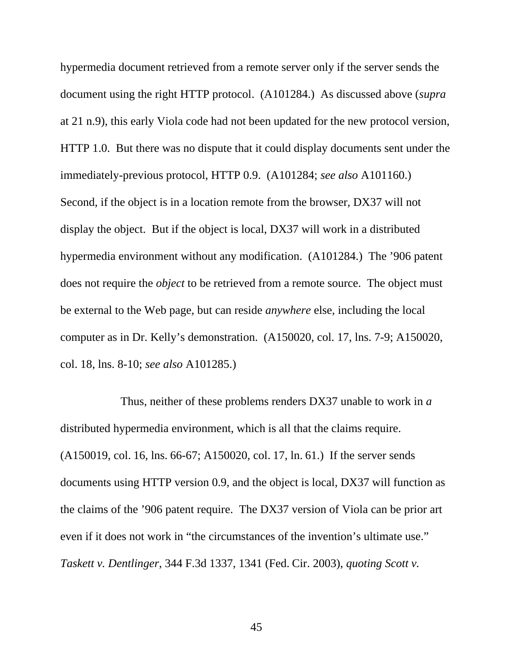hypermedia document retrieved from a remote server only if the server sends the document using the right HTTP protocol. (A101284.) As discussed above (*supra* at 21 n.9), this early Viola code had not been updated for the new protocol version, HTTP 1.0. But there was no dispute that it could display documents sent under the immediately-previous protocol, HTTP 0.9. (A101284; *see also* A101160.) Second, if the object is in a location remote from the browser, DX37 will not display the object. But if the object is local, DX37 will work in a distributed hypermedia environment without any modification. (A101284.) The '906 patent does not require the *object* to be retrieved from a remote source. The object must be external to the Web page, but can reside *anywhere* else, including the local computer as in Dr. Kelly's demonstration. (A150020, col. 17, lns. 7-9; A150020, col. 18, lns. 8-10; *see also* A101285.)

Thus, neither of these problems renders DX37 unable to work in *a* distributed hypermedia environment, which is all that the claims require. (A150019, col. 16, lns. 66-67; A150020, col. 17, ln. 61.) If the server sends documents using HTTP version 0.9, and the object is local, DX37 will function as the claims of the '906 patent require. The DX37 version of Viola can be prior art even if it does not work in "the circumstances of the invention's ultimate use." *Taskett v. Dentlinger*, 344 F.3d 1337, 1341 (Fed. Cir. 2003), *quoting Scott v.*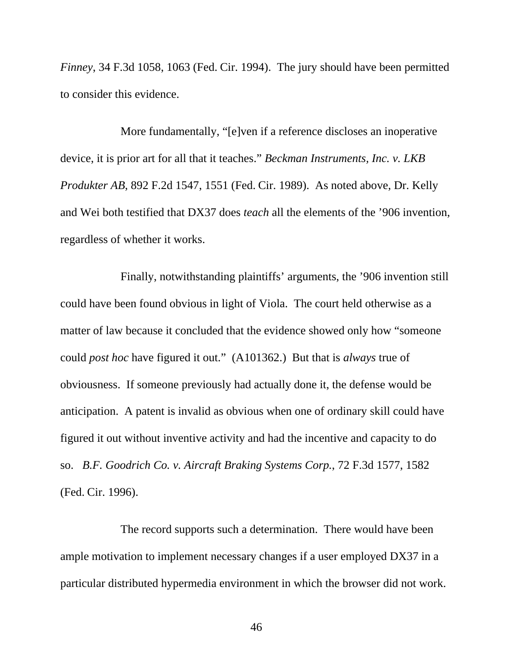*Finney*, 34 F.3d 1058, 1063 (Fed. Cir. 1994). The jury should have been permitted to consider this evidence.

More fundamentally, "[e]ven if a reference discloses an inoperative device, it is prior art for all that it teaches." *Beckman Instruments, Inc. v. LKB Produkter AB*, 892 F.2d 1547, 1551 (Fed. Cir. 1989). As noted above, Dr. Kelly and Wei both testified that DX37 does *teach* all the elements of the '906 invention, regardless of whether it works.

Finally, notwithstanding plaintiffs' arguments, the '906 invention still could have been found obvious in light of Viola. The court held otherwise as a matter of law because it concluded that the evidence showed only how "someone could *post hoc* have figured it out." (A101362.) But that is *always* true of obviousness. If someone previously had actually done it, the defense would be anticipation. A patent is invalid as obvious when one of ordinary skill could have figured it out without inventive activity and had the incentive and capacity to do so. *B.F. Goodrich Co. v. Aircraft Braking Systems Corp.*, 72 F.3d 1577, 1582 (Fed. Cir. 1996).

The record supports such a determination. There would have been ample motivation to implement necessary changes if a user employed DX37 in a particular distributed hypermedia environment in which the browser did not work.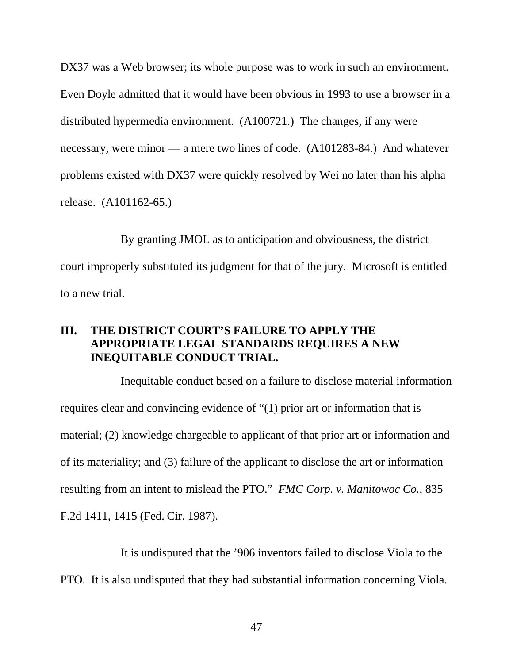DX37 was a Web browser; its whole purpose was to work in such an environment. Even Doyle admitted that it would have been obvious in 1993 to use a browser in a distributed hypermedia environment. (A100721.) The changes, if any were necessary, were minor — a mere two lines of code. (A101283-84.) And whatever problems existed with DX37 were quickly resolved by Wei no later than his alpha release. (A101162-65.)

By granting JMOL as to anticipation and obviousness, the district court improperly substituted its judgment for that of the jury. Microsoft is entitled to a new trial.

# **III. THE DISTRICT COURT'S FAILURE TO APPLY THE APPROPRIATE LEGAL STANDARDS REQUIRES A NEW INEQUITABLE CONDUCT TRIAL.**

Inequitable conduct based on a failure to disclose material information requires clear and convincing evidence of "(1) prior art or information that is material; (2) knowledge chargeable to applicant of that prior art or information and of its materiality; and (3) failure of the applicant to disclose the art or information resulting from an intent to mislead the PTO." *FMC Corp. v. Manitowoc Co.*, 835 F.2d 1411, 1415 (Fed. Cir. 1987).

It is undisputed that the '906 inventors failed to disclose Viola to the PTO. It is also undisputed that they had substantial information concerning Viola.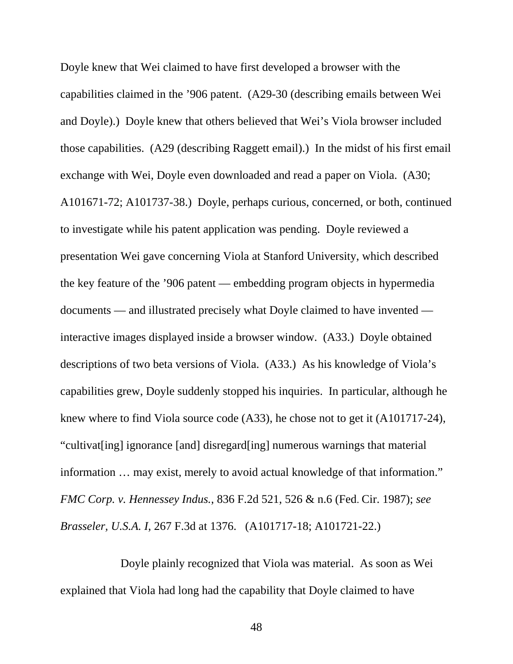Doyle knew that Wei claimed to have first developed a browser with the capabilities claimed in the '906 patent. (A29-30 (describing emails between Wei and Doyle).) Doyle knew that others believed that Wei's Viola browser included those capabilities. (A29 (describing Raggett email).) In the midst of his first email exchange with Wei, Doyle even downloaded and read a paper on Viola. (A30; A101671-72; A101737-38.) Doyle, perhaps curious, concerned, or both, continued to investigate while his patent application was pending. Doyle reviewed a presentation Wei gave concerning Viola at Stanford University, which described the key feature of the '906 patent — embedding program objects in hypermedia documents — and illustrated precisely what Doyle claimed to have invented interactive images displayed inside a browser window. (A33.) Doyle obtained descriptions of two beta versions of Viola. (A33.) As his knowledge of Viola's capabilities grew, Doyle suddenly stopped his inquiries. In particular, although he knew where to find Viola source code (A33), he chose not to get it (A101717-24), "cultivat[ing] ignorance [and] disregard[ing] numerous warnings that material information … may exist, merely to avoid actual knowledge of that information." *FMC Corp. v. Hennessey Indus.*, 836 F.2d 521, 526 & n.6 (Fed. Cir. 1987); *see Brasseler, U.S.A. I*, 267 F.3d at 1376. (A101717-18; A101721-22.)

Doyle plainly recognized that Viola was material. As soon as Wei explained that Viola had long had the capability that Doyle claimed to have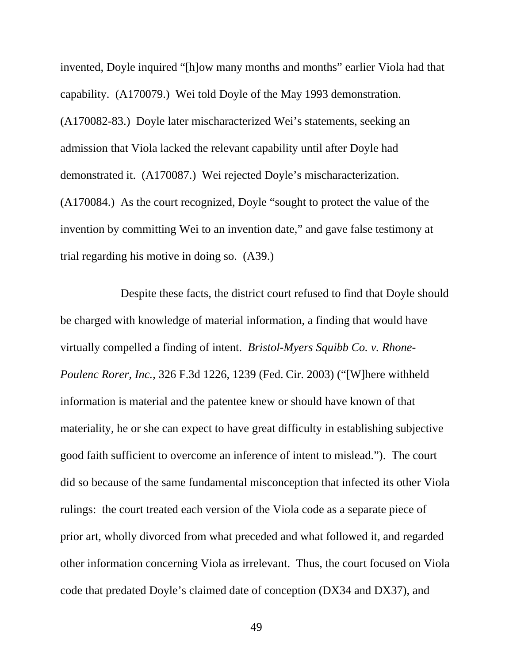invented, Doyle inquired "[h]ow many months and months" earlier Viola had that capability. (A170079.) Wei told Doyle of the May 1993 demonstration. (A170082-83.) Doyle later mischaracterized Wei's statements, seeking an admission that Viola lacked the relevant capability until after Doyle had demonstrated it. (A170087.) Wei rejected Doyle's mischaracterization. (A170084.) As the court recognized, Doyle "sought to protect the value of the invention by committing Wei to an invention date," and gave false testimony at trial regarding his motive in doing so. (A39.)

Despite these facts, the district court refused to find that Doyle should be charged with knowledge of material information, a finding that would have virtually compelled a finding of intent. *Bristol-Myers Squibb Co. v. Rhone-Poulenc Rorer, Inc.*, 326 F.3d 1226, 1239 (Fed. Cir. 2003) ("[W]here withheld information is material and the patentee knew or should have known of that materiality, he or she can expect to have great difficulty in establishing subjective good faith sufficient to overcome an inference of intent to mislead."). The court did so because of the same fundamental misconception that infected its other Viola rulings: the court treated each version of the Viola code as a separate piece of prior art, wholly divorced from what preceded and what followed it, and regarded other information concerning Viola as irrelevant. Thus, the court focused on Viola code that predated Doyle's claimed date of conception (DX34 and DX37), and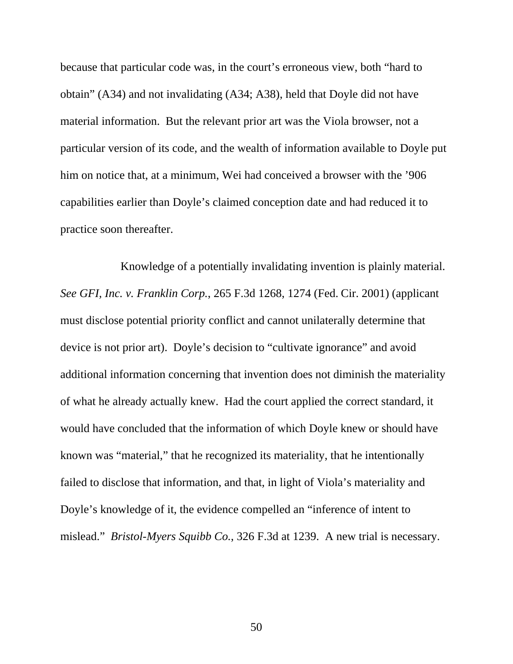because that particular code was, in the court's erroneous view, both "hard to obtain" (A34) and not invalidating (A34; A38), held that Doyle did not have material information. But the relevant prior art was the Viola browser, not a particular version of its code, and the wealth of information available to Doyle put him on notice that, at a minimum, Wei had conceived a browser with the '906 capabilities earlier than Doyle's claimed conception date and had reduced it to practice soon thereafter.

Knowledge of a potentially invalidating invention is plainly material. *See GFI, Inc. v. Franklin Corp.*, 265 F.3d 1268, 1274 (Fed. Cir. 2001) (applicant must disclose potential priority conflict and cannot unilaterally determine that device is not prior art). Doyle's decision to "cultivate ignorance" and avoid additional information concerning that invention does not diminish the materiality of what he already actually knew. Had the court applied the correct standard, it would have concluded that the information of which Doyle knew or should have known was "material," that he recognized its materiality, that he intentionally failed to disclose that information, and that, in light of Viola's materiality and Doyle's knowledge of it, the evidence compelled an "inference of intent to mislead." *Bristol-Myers Squibb Co.*, 326 F.3d at 1239. A new trial is necessary.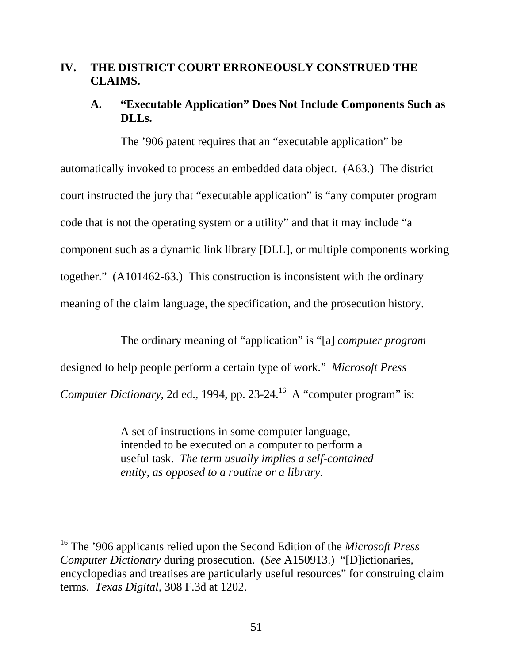## **IV. THE DISTRICT COURT ERRONEOUSLY CONSTRUED THE CLAIMS.**

# **A. "Executable Application" Does Not Include Components Such as DLLs.**

The '906 patent requires that an "executable application" be automatically invoked to process an embedded data object. (A63.) The district court instructed the jury that "executable application" is "any computer program code that is not the operating system or a utility" and that it may include "a component such as a dynamic link library [DLL], or multiple components working together."(A101462-63.) This construction is inconsistent with the ordinary meaning of the claim language, the specification, and the prosecution history.

The ordinary meaning of "application" is "[a] *computer program* designed to help people perform a certain type of work." *Microsoft Press Computer Dictionary*, 2d ed., 1994, pp. 23-24.<sup>16</sup> A "computer program" is:

> A set of instructions in some computer language, intended to be executed on a computer to perform a useful task. *The term usually implies a self-contained entity, as opposed to a routine or a library.*

-

<sup>16</sup> The '906 applicants relied upon the Second Edition of the *Microsoft Press Computer Dictionary* during prosecution. (*See* A150913.) "[D]ictionaries, encyclopedias and treatises are particularly useful resources" for construing claim terms. *Texas Digital*, 308 F.3d at 1202.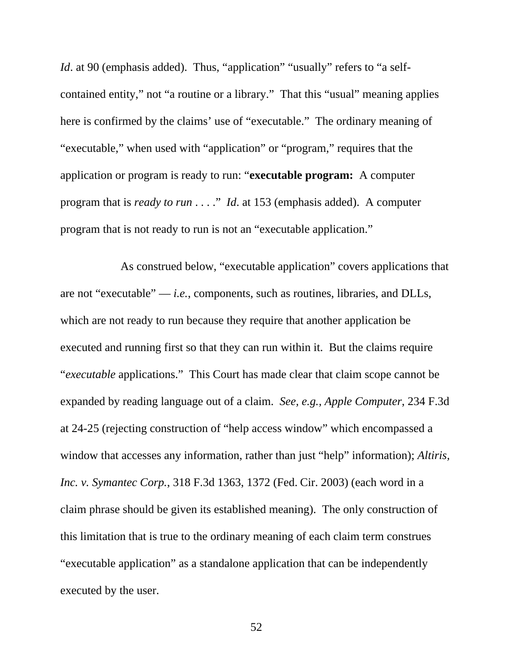*Id.* at 90 (emphasis added). Thus, "application" "usually" refers to "a selfcontained entity," not "a routine or a library." That this "usual" meaning applies here is confirmed by the claims' use of "executable." The ordinary meaning of "executable," when used with "application" or "program," requires that the application or program is ready to run: "**executable program:** A computer program that is *ready to run* . . . ." *Id*. at 153 (emphasis added). A computer program that is not ready to run is not an "executable application."

As construed below, "executable application" covers applications that are not "executable" — *i.e.*, components, such as routines, libraries, and DLLs, which are not ready to run because they require that another application be executed and running first so that they can run within it. But the claims require "*executable* applications." This Court has made clear that claim scope cannot be expanded by reading language out of a claim. *See, e.g., Apple Computer*, 234 F.3d at 24-25 (rejecting construction of "help access window" which encompassed a window that accesses any information, rather than just "help" information); *Altiris, Inc. v. Symantec Corp.*, 318 F.3d 1363, 1372 (Fed. Cir. 2003) (each word in a claim phrase should be given its established meaning). The only construction of this limitation that is true to the ordinary meaning of each claim term construes "executable application" as a standalone application that can be independently executed by the user.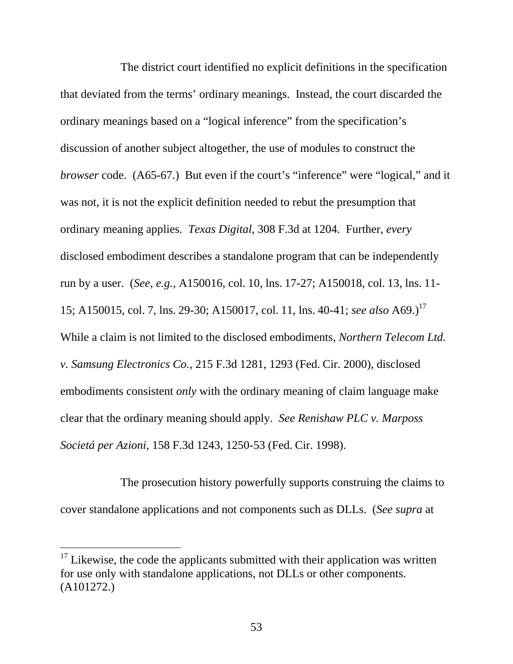The district court identified no explicit definitions in the specification that deviated from the terms' ordinary meanings. Instead, the court discarded the ordinary meanings based on a "logical inference" from the specification's discussion of another subject altogether, the use of modules to construct the *browser* code. (A65-67.) But even if the court's "inference" were "logical," and it was not, it is not the explicit definition needed to rebut the presumption that ordinary meaning applies. *Texas Digital*, 308 F.3d at 1204. Further, *every* disclosed embodiment describes a standalone program that can be independently run by a user. (*See, e.g.,* A150016, col. 10, lns. 17-27; A150018, col. 13, lns. 11- 15; A150015, col. 7, lns. 29-30; A150017, col. 11, lns. 40-41; *see also* A69.)<sup>17</sup> While a claim is not limited to the disclosed embodiments, *Northern Telecom Ltd. v. Samsung Electronics Co.*, 215 F.3d 1281, 1293 (Fed. Cir. 2000), disclosed embodiments consistent *only* with the ordinary meaning of claim language make clear that the ordinary meaning should apply. *See Renishaw PLC v. Marposs Societá per Azioni*, 158 F.3d 1243, 1250-53 (Fed. Cir. 1998).

The prosecution history powerfully supports construing the claims to cover standalone applications and not components such as DLLs. (*See supra* at

-

 $17$  Likewise, the code the applicants submitted with their application was written for use only with standalone applications, not DLLs or other components. (A101272.)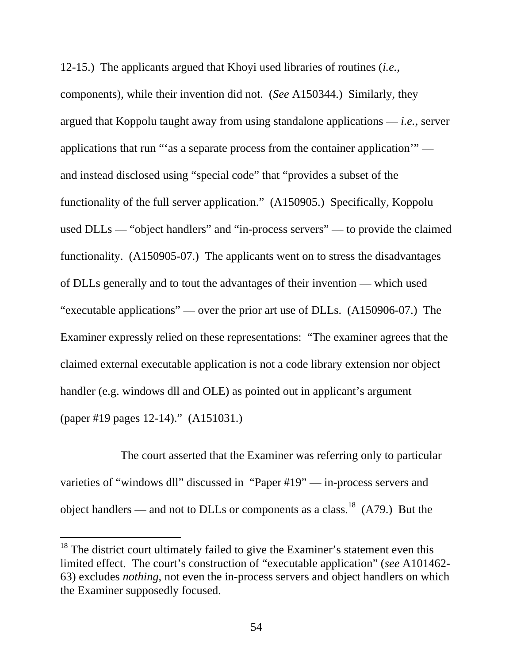12-15.) The applicants argued that Khoyi used libraries of routines (*i.e.*,

components), while their invention did not. (*See* A150344.) Similarly, they argued that Koppolu taught away from using standalone applications — *i.e.*, server applications that run "'as a separate process from the container application'" and instead disclosed using "special code" that "provides a subset of the functionality of the full server application." (A150905.) Specifically, Koppolu used DLLs — "object handlers" and "in-process servers" — to provide the claimed functionality. (A150905-07.) The applicants went on to stress the disadvantages of DLLs generally and to tout the advantages of their invention — which used "executable applications" — over the prior art use of DLLs. (A150906-07.) The Examiner expressly relied on these representations: "The examiner agrees that the claimed external executable application is not a code library extension nor object handler (e.g. windows dll and OLE) as pointed out in applicant's argument (paper #19 pages 12-14)." (A151031.)

The court asserted that the Examiner was referring only to particular varieties of "windows dll" discussed in "Paper #19" — in-process servers and object handlers — and not to DLLs or components as a class.<sup>18</sup> (A79.) But the

-

 $18$  The district court ultimately failed to give the Examiner's statement even this limited effect. The court's construction of "executable application" (*see* A101462- 63) excludes *nothing*, not even the in-process servers and object handlers on which the Examiner supposedly focused.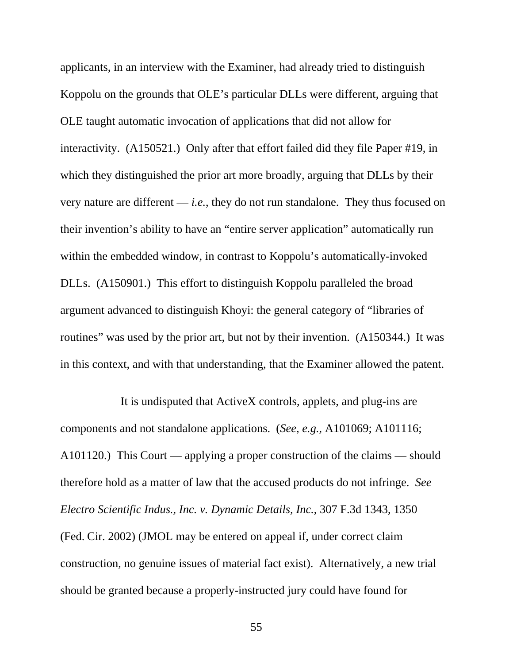applicants, in an interview with the Examiner, had already tried to distinguish Koppolu on the grounds that OLE's particular DLLs were different, arguing that OLE taught automatic invocation of applications that did not allow for interactivity. (A150521.) Only after that effort failed did they file Paper #19, in which they distinguished the prior art more broadly, arguing that DLLs by their very nature are different — *i.e.*, they do not run standalone. They thus focused on their invention's ability to have an "entire server application" automatically run within the embedded window, in contrast to Koppolu's automatically-invoked DLLs. (A150901.) This effort to distinguish Koppolu paralleled the broad argument advanced to distinguish Khoyi: the general category of "libraries of routines" was used by the prior art, but not by their invention. (A150344.) It was in this context, and with that understanding, that the Examiner allowed the patent.

It is undisputed that ActiveX controls, applets, and plug-ins are components and not standalone applications. (*See*, *e.g.*, A101069; A101116; A101120.) This Court — applying a proper construction of the claims — should therefore hold as a matter of law that the accused products do not infringe. *See Electro Scientific Indus., Inc. v. Dynamic Details, Inc.*, 307 F.3d 1343, 1350 (Fed. Cir. 2002) (JMOL may be entered on appeal if, under correct claim construction, no genuine issues of material fact exist). Alternatively, a new trial should be granted because a properly-instructed jury could have found for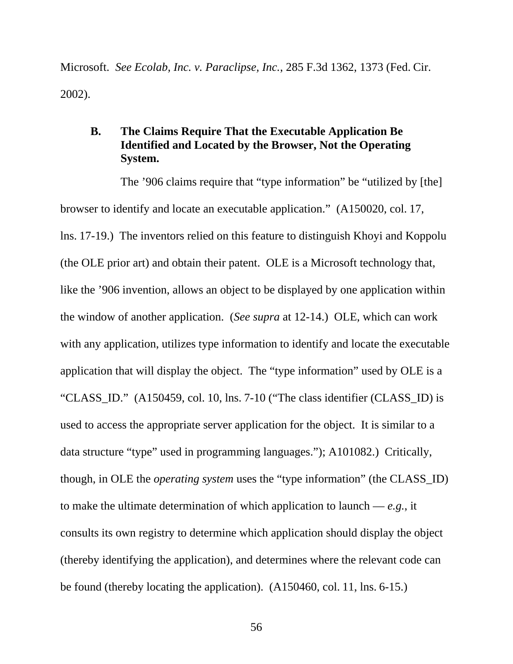Microsoft. *See Ecolab, Inc. v. Paraclipse, Inc.*, 285 F.3d 1362, 1373 (Fed. Cir. 2002).

# **B. The Claims Require That the Executable Application Be Identified and Located by the Browser, Not the Operating System.**

The '906 claims require that "type information" be "utilized by [the] browser to identify and locate an executable application." (A150020, col. 17, lns. 17-19.) The inventors relied on this feature to distinguish Khoyi and Koppolu (the OLE prior art) and obtain their patent. OLE is a Microsoft technology that, like the '906 invention, allows an object to be displayed by one application within the window of another application. (*See supra* at 12-14.) OLE, which can work with any application, utilizes type information to identify and locate the executable application that will display the object. The "type information" used by OLE is a "CLASS\_ID." (A150459, col. 10, lns. 7-10 ("The class identifier (CLASS\_ID) is used to access the appropriate server application for the object. It is similar to a data structure "type" used in programming languages."); A101082.) Critically, though, in OLE the *operating system* uses the "type information" (the CLASS\_ID) to make the ultimate determination of which application to launch — *e.g.*, it consults its own registry to determine which application should display the object (thereby identifying the application), and determines where the relevant code can be found (thereby locating the application). (A150460, col. 11, lns. 6-15.)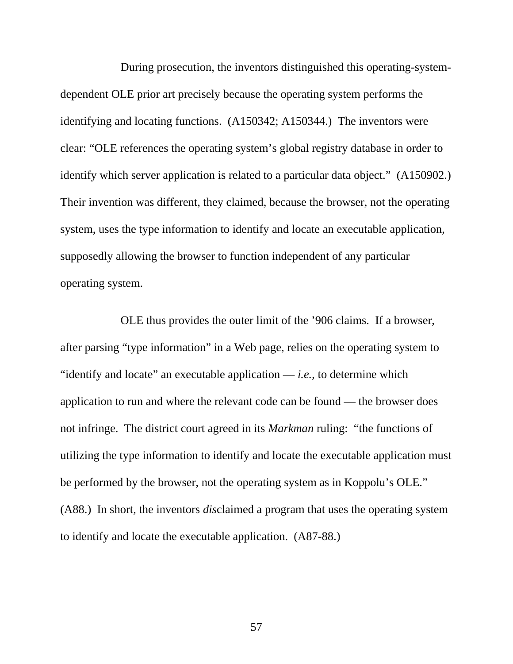During prosecution, the inventors distinguished this operating-systemdependent OLE prior art precisely because the operating system performs the identifying and locating functions. (A150342; A150344.) The inventors were clear: "OLE references the operating system's global registry database in order to identify which server application is related to a particular data object." (A150902.) Their invention was different, they claimed, because the browser, not the operating system, uses the type information to identify and locate an executable application, supposedly allowing the browser to function independent of any particular operating system.

OLE thus provides the outer limit of the '906 claims. If a browser, after parsing "type information" in a Web page, relies on the operating system to "identify and locate" an executable application — *i.e.*, to determine which application to run and where the relevant code can be found — the browser does not infringe. The district court agreed in its *Markman* ruling: "the functions of utilizing the type information to identify and locate the executable application must be performed by the browser, not the operating system as in Koppolu's OLE." (A88.) In short, the inventors *dis*claimed a program that uses the operating system to identify and locate the executable application. (A87-88.)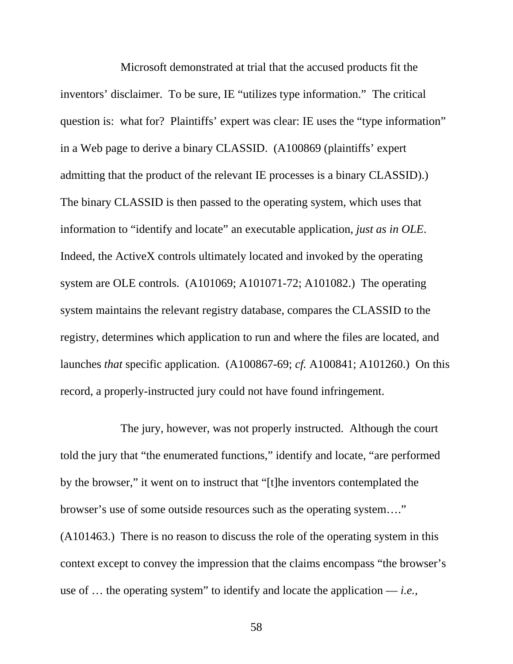Microsoft demonstrated at trial that the accused products fit the inventors' disclaimer. To be sure, IE "utilizes type information." The critical question is: what for? Plaintiffs' expert was clear: IE uses the "type information" in a Web page to derive a binary CLASSID. (A100869 (plaintiffs' expert admitting that the product of the relevant IE processes is a binary CLASSID).) The binary CLASSID is then passed to the operating system, which uses that information to "identify and locate" an executable application, *just as in OLE*. Indeed, the ActiveX controls ultimately located and invoked by the operating system are OLE controls. (A101069; A101071-72; A101082.) The operating system maintains the relevant registry database, compares the CLASSID to the registry, determines which application to run and where the files are located, and launches *that* specific application. (A100867-69; *cf.* A100841; A101260.) On this record, a properly-instructed jury could not have found infringement.

The jury, however, was not properly instructed. Although the court told the jury that "the enumerated functions," identify and locate, "are performed by the browser," it went on to instruct that "[t]he inventors contemplated the browser's use of some outside resources such as the operating system…." (A101463.) There is no reason to discuss the role of the operating system in this context except to convey the impression that the claims encompass "the browser's use of … the operating system" to identify and locate the application — *i.e.,*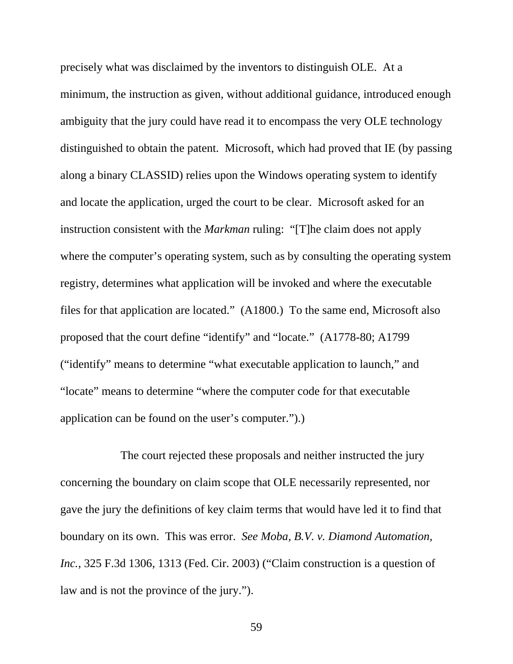precisely what was disclaimed by the inventors to distinguish OLE. At a minimum, the instruction as given, without additional guidance, introduced enough ambiguity that the jury could have read it to encompass the very OLE technology distinguished to obtain the patent. Microsoft, which had proved that IE (by passing along a binary CLASSID) relies upon the Windows operating system to identify and locate the application, urged the court to be clear. Microsoft asked for an instruction consistent with the *Markman* ruling: "[T]he claim does not apply where the computer's operating system, such as by consulting the operating system registry, determines what application will be invoked and where the executable files for that application are located." (A1800.) To the same end, Microsoft also proposed that the court define "identify" and "locate." (A1778-80; A1799 ("identify" means to determine "what executable application to launch," and "locate" means to determine "where the computer code for that executable application can be found on the user's computer.").)

The court rejected these proposals and neither instructed the jury concerning the boundary on claim scope that OLE necessarily represented, nor gave the jury the definitions of key claim terms that would have led it to find that boundary on its own. This was error. *See Moba, B.V. v. Diamond Automation, Inc.*, 325 F.3d 1306, 1313 (Fed. Cir. 2003) ("Claim construction is a question of law and is not the province of the jury.").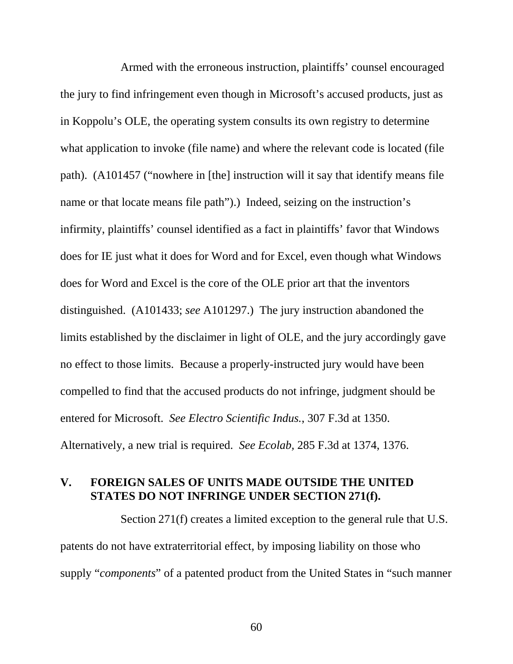Armed with the erroneous instruction, plaintiffs' counsel encouraged the jury to find infringement even though in Microsoft's accused products, just as in Koppolu's OLE, the operating system consults its own registry to determine what application to invoke (file name) and where the relevant code is located (file path). (A101457 ("nowhere in [the] instruction will it say that identify means file name or that locate means file path").) Indeed, seizing on the instruction's infirmity, plaintiffs' counsel identified as a fact in plaintiffs' favor that Windows does for IE just what it does for Word and for Excel, even though what Windows does for Word and Excel is the core of the OLE prior art that the inventors distinguished. (A101433; *see* A101297.) The jury instruction abandoned the limits established by the disclaimer in light of OLE, and the jury accordingly gave no effect to those limits. Because a properly-instructed jury would have been compelled to find that the accused products do not infringe, judgment should be entered for Microsoft. *See Electro Scientific Indus.*, 307 F.3d at 1350. Alternatively, a new trial is required. *See Ecolab,* 285 F.3d at 1374, 1376.

### **V. FOREIGN SALES OF UNITS MADE OUTSIDE THE UNITED STATES DO NOT INFRINGE UNDER SECTION 271(f).**

Section 271(f) creates a limited exception to the general rule that U.S. patents do not have extraterritorial effect, by imposing liability on those who supply "*components*" of a patented product from the United States in "such manner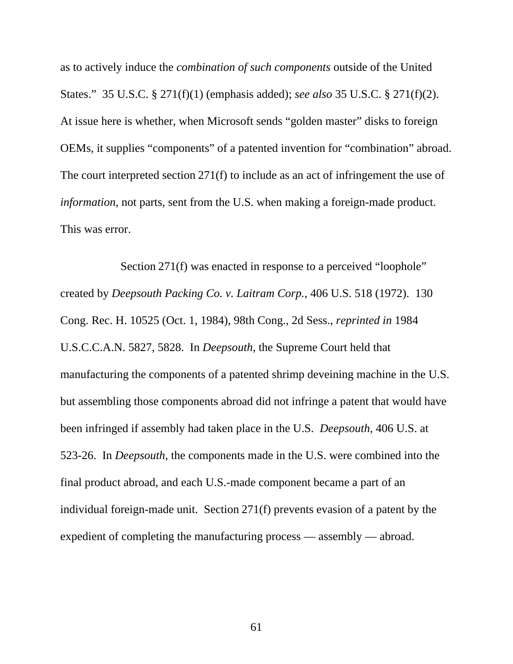as to actively induce the *combination of such components* outside of the United States." 35 U.S.C. § 271(f)(1) (emphasis added); *see also* 35 U.S.C. § 271(f)(2). At issue here is whether, when Microsoft sends "golden master" disks to foreign OEMs, it supplies "components" of a patented invention for "combination" abroad. The court interpreted section 271(f) to include as an act of infringement the use of *information*, not parts, sent from the U.S. when making a foreign-made product. This was error.

Section 271(f) was enacted in response to a perceived "loophole" created by *Deepsouth Packing Co. v. Laitram Corp.*, 406 U.S. 518 (1972). 130 Cong. Rec. H. 10525 (Oct. 1, 1984), 98th Cong., 2d Sess., *reprinted in* 1984 U.S.C.C.A.N. 5827, 5828. In *Deepsouth*, the Supreme Court held that manufacturing the components of a patented shrimp deveining machine in the U.S. but assembling those components abroad did not infringe a patent that would have been infringed if assembly had taken place in the U.S. *Deepsouth*, 406 U.S. at 523-26. In *Deepsouth*, the components made in the U.S. were combined into the final product abroad, and each U.S.-made component became a part of an individual foreign-made unit. Section 271(f) prevents evasion of a patent by the expedient of completing the manufacturing process — assembly — abroad.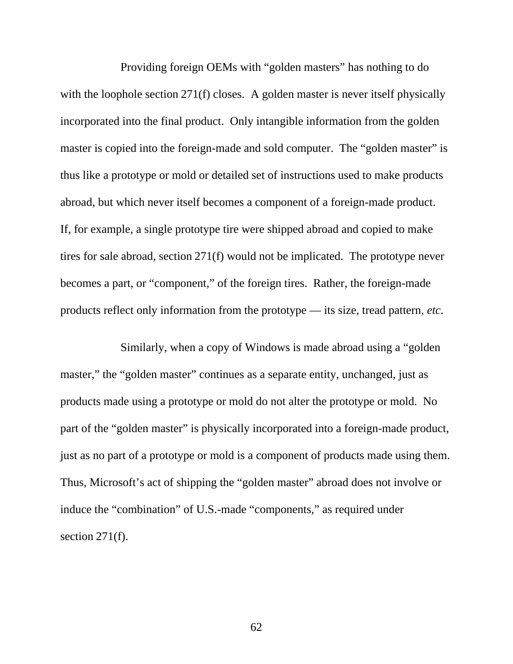Providing foreign OEMs with "golden masters" has nothing to do with the loophole section 271(f) closes. A golden master is never itself physically incorporated into the final product. Only intangible information from the golden master is copied into the foreign-made and sold computer. The "golden master" is thus like a prototype or mold or detailed set of instructions used to make products abroad, but which never itself becomes a component of a foreign-made product. If, for example, a single prototype tire were shipped abroad and copied to make tires for sale abroad, section 271(f) would not be implicated. The prototype never becomes a part, or "component," of the foreign tires. Rather, the foreign-made products reflect only information from the prototype — its size, tread pattern, *etc*.

Similarly, when a copy of Windows is made abroad using a "golden master," the "golden master" continues as a separate entity, unchanged, just as products made using a prototype or mold do not alter the prototype or mold. No part of the "golden master" is physically incorporated into a foreign-made product, just as no part of a prototype or mold is a component of products made using them. Thus, Microsoft's act of shipping the "golden master" abroad does not involve or induce the "combination" of U.S.-made "components," as required under section 271(f).

62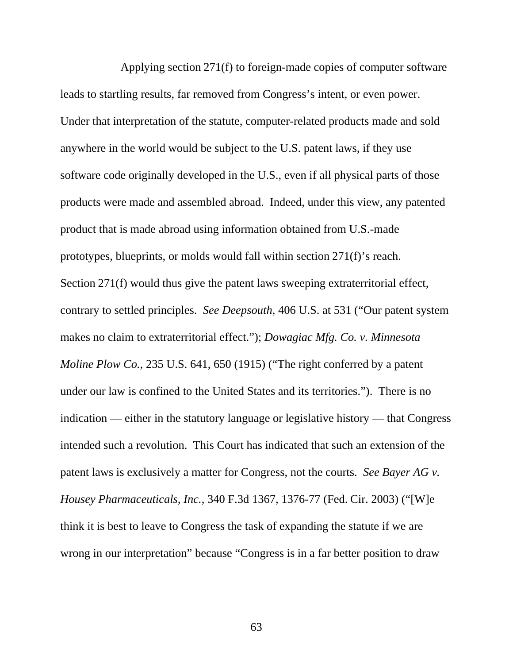Applying section 271(f) to foreign-made copies of computer software leads to startling results, far removed from Congress's intent, or even power. Under that interpretation of the statute, computer-related products made and sold anywhere in the world would be subject to the U.S. patent laws, if they use software code originally developed in the U.S., even if all physical parts of those products were made and assembled abroad. Indeed, under this view, any patented product that is made abroad using information obtained from U.S.-made prototypes, blueprints, or molds would fall within section 271(f)'s reach. Section 271(f) would thus give the patent laws sweeping extraterritorial effect, contrary to settled principles. *See Deepsouth*, 406 U.S. at 531 ("Our patent system makes no claim to extraterritorial effect."); *Dowagiac Mfg. Co. v. Minnesota Moline Plow Co.*, 235 U.S. 641, 650 (1915) ("The right conferred by a patent under our law is confined to the United States and its territories."). There is no indication — either in the statutory language or legislative history — that Congress intended such a revolution. This Court has indicated that such an extension of the patent laws is exclusively a matter for Congress, not the courts. *See Bayer AG v. Housey Pharmaceuticals, Inc.*, 340 F.3d 1367, 1376-77 (Fed. Cir. 2003) ("[W]e think it is best to leave to Congress the task of expanding the statute if we are wrong in our interpretation" because "Congress is in a far better position to draw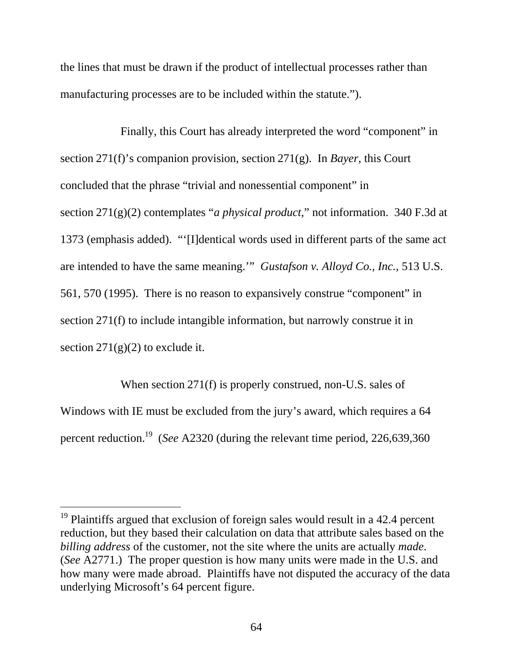the lines that must be drawn if the product of intellectual processes rather than manufacturing processes are to be included within the statute.").

Finally, this Court has already interpreted the word "component" in section 271(f)'s companion provision, section 271(g). In *Bayer*, this Court concluded that the phrase "trivial and nonessential component" in section 271(g)(2) contemplates "*a physical product*," not information. 340 F.3d at 1373 (emphasis added). "'[I]dentical words used in different parts of the same act are intended to have the same meaning.'" *Gustafson v. Alloyd Co., Inc.,* 513 U.S. 561, 570 (1995). There is no reason to expansively construe "component" in section 271(f) to include intangible information, but narrowly construe it in section  $271(g)(2)$  to exclude it.

When section 271(f) is properly construed, non-U.S. sales of Windows with IE must be excluded from the jury's award, which requires a 64 percent reduction.19 (*See* A2320 (during the relevant time period, 226,639,360

 $\overline{a}$ 

 $19$  Plaintiffs argued that exclusion of foreign sales would result in a 42.4 percent reduction, but they based their calculation on data that attribute sales based on the *billing address* of the customer, not the site where the units are actually *made*. (*See* A2771.) The proper question is how many units were made in the U.S. and how many were made abroad. Plaintiffs have not disputed the accuracy of the data underlying Microsoft's 64 percent figure.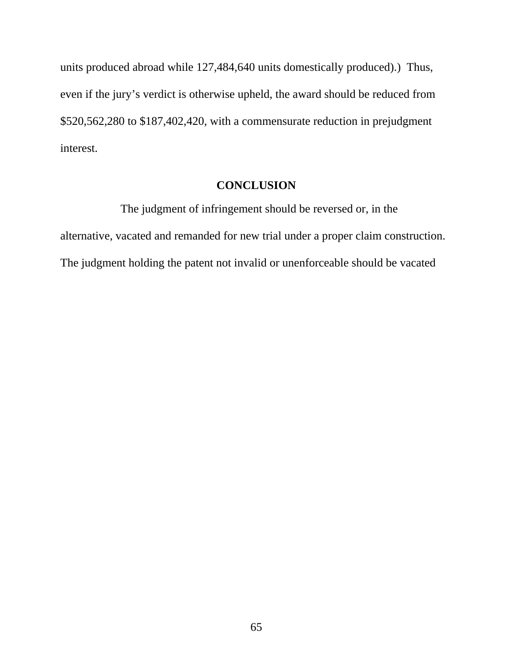units produced abroad while 127,484,640 units domestically produced).) Thus, even if the jury's verdict is otherwise upheld, the award should be reduced from \$520,562,280 to \$187,402,420, with a commensurate reduction in prejudgment interest.

## **CONCLUSION**

The judgment of infringement should be reversed or, in the alternative, vacated and remanded for new trial under a proper claim construction. The judgment holding the patent not invalid or unenforceable should be vacated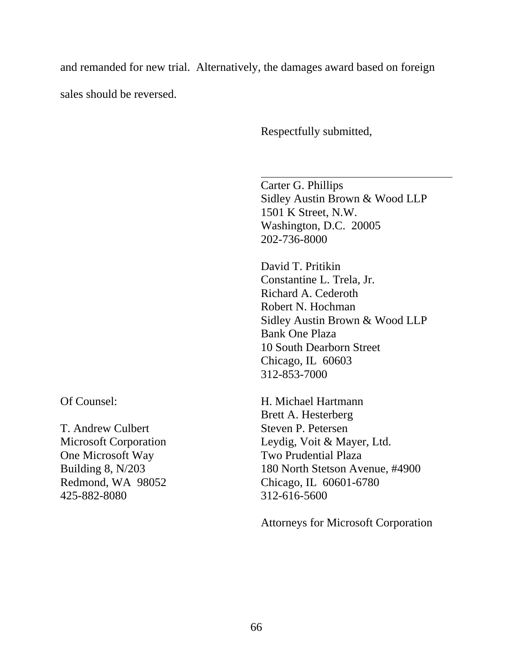and remanded for new trial. Alternatively, the damages award based on foreign

sales should be reversed.

Respectfully submitted,

Carter G. Phillips Sidley Austin Brown & Wood LLP 1501 K Street, N.W. Washington, D.C. 20005 202-736-8000

David T. Pritikin Constantine L. Trela, Jr. Richard A. Cederoth Robert N. Hochman Sidley Austin Brown & Wood LLP Bank One Plaza 10 South Dearborn Street Chicago, IL 60603 312-853-7000

H. Michael Hartmann Brett A. Hesterberg Steven P. Petersen Leydig, Voit & Mayer, Ltd. Two Prudential Plaza 180 North Stetson Avenue, #4900 Chicago, IL 60601-6780 312-616-5600

Attorneys for Microsoft Corporation

Of Counsel:

T. Andrew Culbert Microsoft Corporation One Microsoft Way Building 8, N/203 Redmond, WA 98052 425-882-8080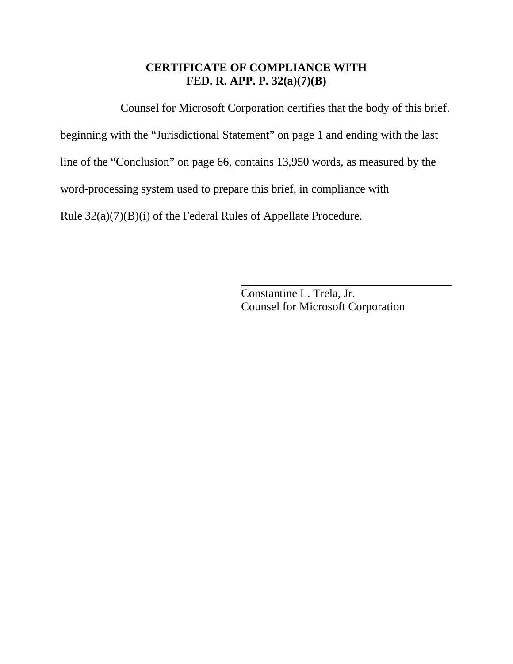## **CERTIFICATE OF COMPLIANCE WITH FED. R. APP. P. 32(a)(7)(B)**

Counsel for Microsoft Corporation certifies that the body of this brief,

beginning with the "Jurisdictional Statement" on page 1 and ending with the last

line of the "Conclusion" on page 66, contains 13,950 words, as measured by the

word-processing system used to prepare this brief, in compliance with

Rule 32(a)(7)(B)(i) of the Federal Rules of Appellate Procedure.

 Constantine L. Trela, Jr. Counsel for Microsoft Corporation